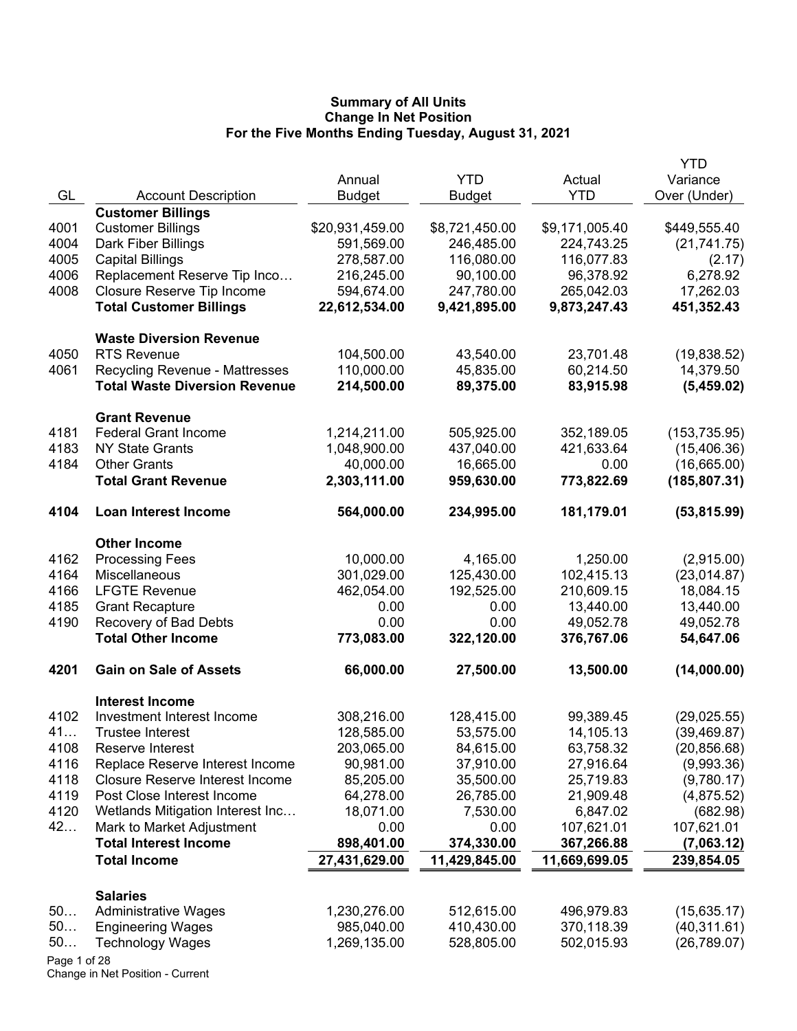|              |                                                                               | Annual                   | <b>YTD</b>             | Actual                 | <b>YTD</b><br>Variance  |
|--------------|-------------------------------------------------------------------------------|--------------------------|------------------------|------------------------|-------------------------|
| GL           | <b>Account Description</b>                                                    | <b>Budget</b>            | <b>Budget</b>          | <b>YTD</b>             | Over (Under)            |
|              | <b>Customer Billings</b>                                                      |                          |                        |                        |                         |
| 4001         | <b>Customer Billings</b>                                                      | \$20,931,459.00          | \$8,721,450.00         | \$9,171,005.40         | \$449,555.40            |
| 4004         | Dark Fiber Billings                                                           | 591,569.00               | 246,485.00             | 224,743.25             | (21, 741.75)            |
| 4005         | <b>Capital Billings</b>                                                       | 278,587.00               | 116,080.00             | 116,077.83             | (2.17)                  |
| 4006         | Replacement Reserve Tip Inco                                                  | 216,245.00               | 90,100.00              | 96,378.92              | 6,278.92                |
| 4008         | Closure Reserve Tip Income                                                    | 594,674.00               | 247,780.00             | 265,042.03             | 17,262.03               |
|              | <b>Total Customer Billings</b>                                                | 22,612,534.00            | 9,421,895.00           | 9,873,247.43           | 451,352.43              |
|              | <b>Waste Diversion Revenue</b>                                                |                          |                        |                        |                         |
| 4050         | <b>RTS Revenue</b>                                                            | 104,500.00               | 43,540.00              | 23,701.48              | (19,838.52)             |
| 4061         | <b>Recycling Revenue - Mattresses</b><br><b>Total Waste Diversion Revenue</b> | 110,000.00<br>214,500.00 | 45,835.00<br>89,375.00 | 60,214.50<br>83,915.98 | 14,379.50<br>(5,459.02) |
|              |                                                                               |                          |                        |                        |                         |
| 4181         | <b>Grant Revenue</b><br><b>Federal Grant Income</b>                           | 1,214,211.00             | 505,925.00             | 352,189.05             | (153, 735.95)           |
| 4183         | <b>NY State Grants</b>                                                        | 1,048,900.00             | 437,040.00             | 421,633.64             | (15, 406.36)            |
| 4184         | <b>Other Grants</b>                                                           | 40,000.00                | 16,665.00              | 0.00                   | (16,665.00)             |
|              | <b>Total Grant Revenue</b>                                                    | 2,303,111.00             | 959,630.00             | 773,822.69             | (185, 807.31)           |
| 4104         | <b>Loan Interest Income</b>                                                   | 564,000.00               | 234,995.00             | 181,179.01             | (53, 815.99)            |
|              | <b>Other Income</b>                                                           |                          |                        |                        |                         |
| 4162         | <b>Processing Fees</b>                                                        | 10,000.00                | 4,165.00               | 1,250.00               | (2,915.00)              |
| 4164         | Miscellaneous                                                                 | 301,029.00               | 125,430.00             | 102,415.13             | (23,014.87)             |
| 4166         | <b>LFGTE Revenue</b>                                                          | 462,054.00               | 192,525.00             | 210,609.15             | 18,084.15               |
| 4185         | <b>Grant Recapture</b>                                                        | 0.00                     | 0.00                   | 13,440.00              | 13,440.00               |
| 4190         | Recovery of Bad Debts                                                         | 0.00                     | 0.00                   | 49,052.78              | 49,052.78               |
|              | <b>Total Other Income</b>                                                     | 773,083.00               | 322,120.00             | 376,767.06             | 54,647.06               |
| 4201         | <b>Gain on Sale of Assets</b>                                                 | 66,000.00                | 27,500.00              | 13,500.00              | (14,000.00)             |
|              | <b>Interest Income</b>                                                        |                          |                        |                        |                         |
| 4102         | Investment Interest Income                                                    | 308,216.00               | 128,415.00             | 99,389.45              | (29, 025.55)            |
| 41           | <b>Trustee Interest</b>                                                       | 128,585.00               | 53,575.00              | 14,105.13              | (39, 469.87)            |
| 4108         | Reserve Interest                                                              | 203,065.00               | 84,615.00              | 63,758.32              | (20, 856.68)            |
| 4116         | Replace Reserve Interest Income                                               | 90,981.00                | 37,910.00              | 27,916.64              | (9,993.36)              |
| 4118         | <b>Closure Reserve Interest Income</b>                                        | 85,205.00                | 35,500.00              | 25,719.83              | (9,780.17)              |
| 4119         | Post Close Interest Income                                                    | 64,278.00                | 26,785.00              | 21,909.48              | (4,875.52)              |
| 4120         | Wetlands Mitigation Interest Inc                                              | 18,071.00                | 7,530.00               | 6,847.02               | (682.98)                |
| 42           | Mark to Market Adjustment                                                     | 0.00                     | 0.00                   | 107,621.01             | 107,621.01              |
|              | <b>Total Interest Income</b>                                                  | 898,401.00               | 374,330.00             | 367,266.88             | (7,063.12)              |
|              | <b>Total Income</b>                                                           | 27,431,629.00            | 11,429,845.00          | 11,669,699.05          | 239,854.05              |
|              | <b>Salaries</b>                                                               |                          |                        |                        |                         |
| 50           | <b>Administrative Wages</b>                                                   | 1,230,276.00             | 512,615.00             | 496,979.83             | (15, 635.17)            |
| 50           | <b>Engineering Wages</b>                                                      | 985,040.00               | 410,430.00             | 370,118.39             | (40, 311.61)            |
| 50           | <b>Technology Wages</b>                                                       | 1,269,135.00             | 528,805.00             | 502,015.93             | (26, 789.07)            |
| Page 1 of 28 |                                                                               |                          |                        |                        |                         |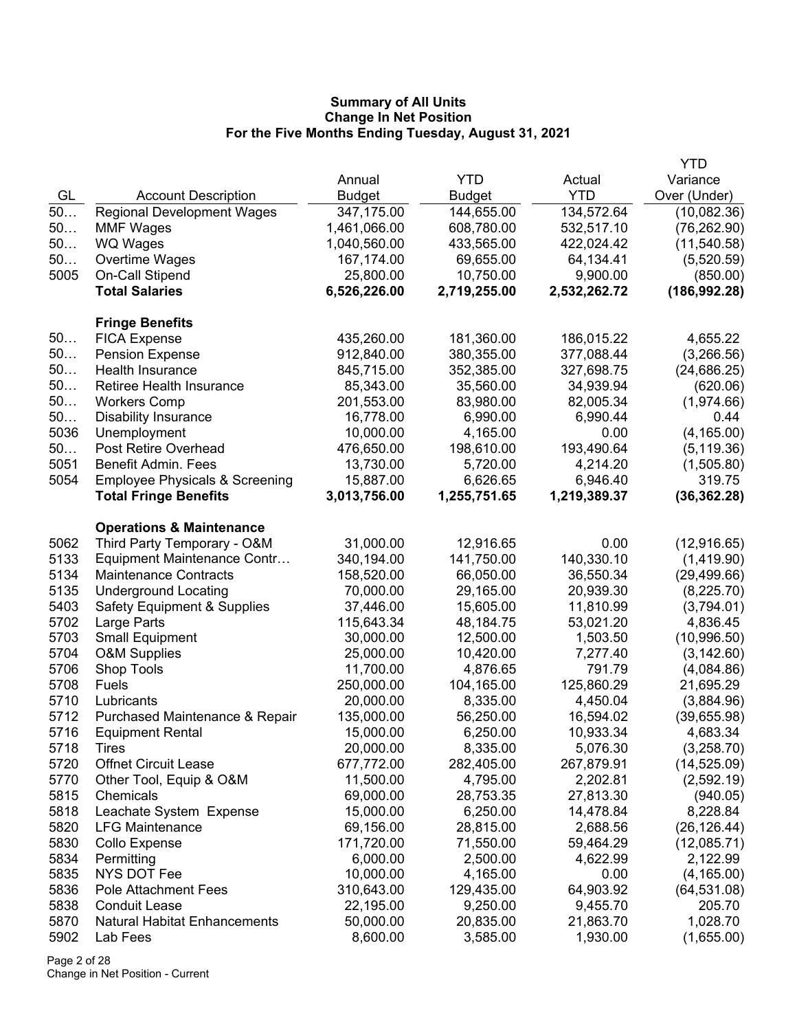|              |                                                 |                       |                       |                       | <b>YTD</b>             |
|--------------|-------------------------------------------------|-----------------------|-----------------------|-----------------------|------------------------|
|              |                                                 | Annual                | <b>YTD</b>            | Actual                | Variance               |
| GL           | <b>Account Description</b>                      | <b>Budget</b>         | <b>Budget</b>         | <b>YTD</b>            | Over (Under)           |
| 50           | <b>Regional Development Wages</b>               | 347,175.00            | 144,655.00            | 134,572.64            | (10,082.36)            |
| 50           | <b>MMF Wages</b>                                | 1,461,066.00          | 608,780.00            | 532,517.10            | (76, 262.90)           |
| 50           | <b>WQ Wages</b>                                 | 1,040,560.00          | 433,565.00            | 422,024.42            | (11, 540.58)           |
| 50           | Overtime Wages                                  | 167,174.00            | 69,655.00             | 64,134.41             | (5,520.59)             |
| 5005         | On-Call Stipend                                 | 25,800.00             | 10,750.00             | 9,900.00              | (850.00)               |
|              | <b>Total Salaries</b>                           | 6,526,226.00          | 2,719,255.00          | 2,532,262.72          | (186, 992.28)          |
|              | <b>Fringe Benefits</b>                          |                       |                       |                       |                        |
| 50           | <b>FICA Expense</b>                             | 435,260.00            | 181,360.00            | 186,015.22            | 4,655.22               |
| 50           | <b>Pension Expense</b>                          | 912,840.00            | 380,355.00            | 377,088.44            | (3,266.56)             |
| 50           | Health Insurance                                | 845,715.00            | 352,385.00            | 327,698.75            | (24, 686.25)           |
| 50           | Retiree Health Insurance                        | 85,343.00             | 35,560.00             | 34,939.94             | (620.06)               |
| 50           | <b>Workers Comp</b>                             | 201,553.00            | 83,980.00             | 82,005.34             | (1,974.66)             |
| 50           | <b>Disability Insurance</b>                     | 16,778.00             | 6,990.00              | 6,990.44              | 0.44                   |
| 5036         | Unemployment                                    | 10,000.00             | 4,165.00              | 0.00                  | (4, 165.00)            |
| 50           | Post Retire Overhead                            | 476,650.00            | 198,610.00            | 193,490.64            | (5, 119.36)            |
| 5051         | <b>Benefit Admin. Fees</b>                      | 13,730.00             | 5,720.00              | 4,214.20              | (1,505.80)             |
| 5054         | <b>Employee Physicals &amp; Screening</b>       | 15,887.00             | 6,626.65              | 6,946.40              | 319.75                 |
|              | <b>Total Fringe Benefits</b>                    | 3,013,756.00          | 1,255,751.65          | 1,219,389.37          | (36, 362.28)           |
|              | <b>Operations &amp; Maintenance</b>             |                       |                       |                       |                        |
| 5062         | Third Party Temporary - O&M                     | 31,000.00             | 12,916.65             | 0.00                  | (12, 916.65)           |
| 5133         | Equipment Maintenance Contr                     | 340,194.00            | 141,750.00            | 140,330.10            | (1,419.90)             |
| 5134         | <b>Maintenance Contracts</b>                    | 158,520.00            | 66,050.00             | 36,550.34             | (29, 499.66)           |
| 5135         | <b>Underground Locating</b>                     | 70,000.00             | 29,165.00             | 20,939.30             | (8,225.70)             |
| 5403         | <b>Safety Equipment &amp; Supplies</b>          | 37,446.00             | 15,605.00             | 11,810.99             | (3,794.01)             |
| 5702         | Large Parts                                     | 115,643.34            | 48,184.75             | 53,021.20             | 4,836.45               |
| 5703         | <b>Small Equipment</b>                          | 30,000.00             | 12,500.00             | 1,503.50              | (10,996.50)            |
| 5704         | <b>O&amp;M Supplies</b>                         | 25,000.00             | 10,420.00             | 7,277.40              | (3, 142.60)            |
| 5706         | Shop Tools                                      | 11,700.00             | 4,876.65              | 791.79                | (4,084.86)             |
| 5708         | Fuels                                           | 250,000.00            | 104,165.00            | 125,860.29            | 21,695.29              |
| 5710         | Lubricants                                      | 20,000.00             | 8,335.00              | 4,450.04              | (3,884.96)             |
| 5712         | Purchased Maintenance & Repair                  | 135,000.00            | 56,250.00             | 16,594.02             | (39,655.98)            |
| 5716         | <b>Equipment Rental</b>                         | 15,000.00             | 6,250.00              | 10,933.34             | 4,683.34               |
| 5718         | I Ires                                          | 20,000.00             | 8,335.00              | 5,076.30              | (3,258.70)             |
| 5720         | <b>Offnet Circuit Lease</b>                     | 677,772.00            | 282,405.00            | 267,879.91            | (14, 525.09)           |
| 5770         | Other Tool, Equip & O&M                         | 11,500.00             | 4,795.00              | 2,202.81              | (2,592.19)             |
| 5815         | Chemicals                                       | 69,000.00             | 28,753.35             | 27,813.30             | (940.05)               |
| 5818         | Leachate System Expense                         | 15,000.00             | 6,250.00              | 14,478.84             | 8,228.84               |
| 5820         | <b>LFG Maintenance</b>                          | 69,156.00             | 28,815.00             | 2,688.56              | (26, 126.44)           |
| 5830         | Collo Expense                                   | 171,720.00            | 71,550.00             | 59,464.29             | (12,085.71)            |
| 5834         | Permitting                                      | 6,000.00              | 2,500.00              | 4,622.99              | 2,122.99               |
| 5835         | NYS DOT Fee                                     | 10,000.00             | 4,165.00              | 0.00                  | (4, 165.00)            |
| 5836         | Pole Attachment Fees<br><b>Conduit Lease</b>    | 310,643.00            | 129,435.00            | 64,903.92             | (64, 531.08)           |
| 5838         |                                                 | 22,195.00             | 9,250.00              | 9,455.70              | 205.70                 |
| 5870<br>5902 | <b>Natural Habitat Enhancements</b><br>Lab Fees | 50,000.00<br>8,600.00 | 20,835.00<br>3,585.00 | 21,863.70<br>1,930.00 | 1,028.70<br>(1,655.00) |
|              |                                                 |                       |                       |                       |                        |

Page 2 of 28 Change in Net Position - Current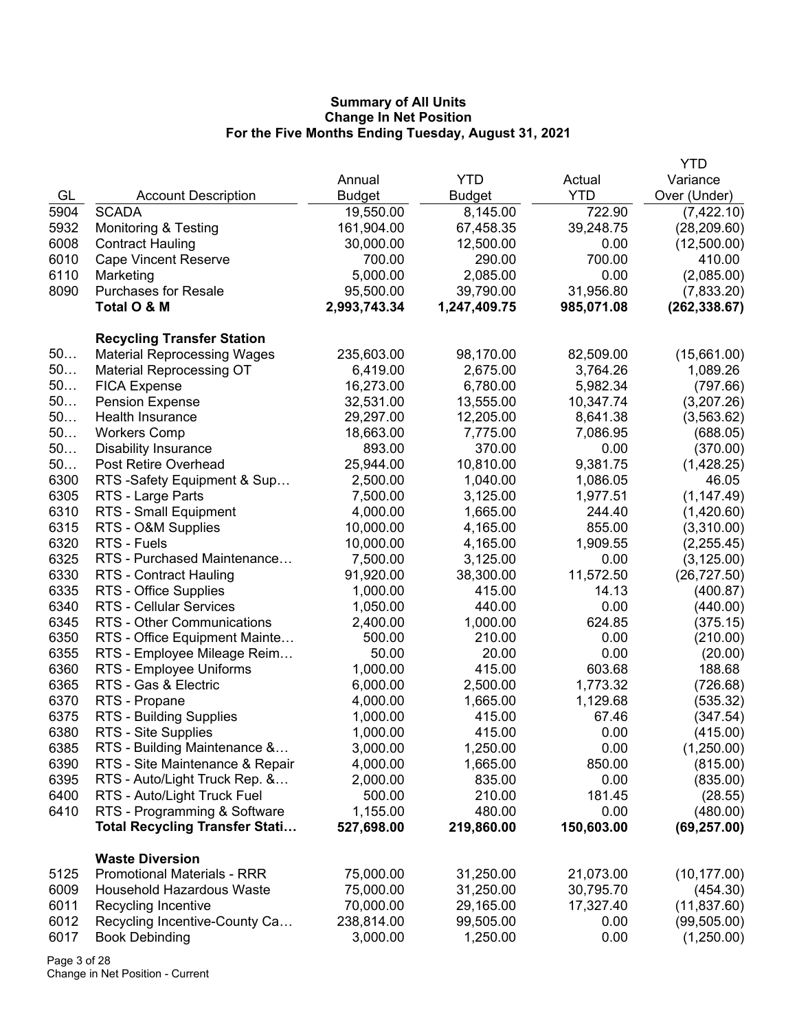|      |                                       |               |               |            | <b>YTD</b>    |
|------|---------------------------------------|---------------|---------------|------------|---------------|
|      |                                       | Annual        | <b>YTD</b>    | Actual     | Variance      |
| GL   | <b>Account Description</b>            | <b>Budget</b> | <b>Budget</b> | <b>YTD</b> | Over (Under)  |
| 5904 | <b>SCADA</b>                          | 19,550.00     | 8,145.00      | 722.90     | (7,422.10)    |
| 5932 | <b>Monitoring &amp; Testing</b>       | 161,904.00    | 67,458.35     | 39,248.75  | (28, 209.60)  |
| 6008 | <b>Contract Hauling</b>               | 30,000.00     | 12,500.00     | 0.00       | (12,500.00)   |
| 6010 | <b>Cape Vincent Reserve</b>           | 700.00        | 290.00        | 700.00     | 410.00        |
| 6110 | Marketing                             | 5,000.00      | 2,085.00      | 0.00       | (2,085.00)    |
| 8090 | <b>Purchases for Resale</b>           | 95,500.00     | 39,790.00     | 31,956.80  | (7,833.20)    |
|      | Total O & M                           | 2,993,743.34  | 1,247,409.75  | 985,071.08 | (262, 338.67) |
|      |                                       |               |               |            |               |
|      | <b>Recycling Transfer Station</b>     |               |               |            |               |
| 50   | <b>Material Reprocessing Wages</b>    | 235,603.00    | 98,170.00     | 82,509.00  | (15,661.00)   |
| 50   | <b>Material Reprocessing OT</b>       | 6,419.00      | 2,675.00      | 3,764.26   | 1,089.26      |
| 50   | <b>FICA Expense</b>                   | 16,273.00     | 6,780.00      | 5,982.34   | (797.66)      |
| 50   | <b>Pension Expense</b>                | 32,531.00     | 13,555.00     | 10,347.74  | (3,207.26)    |
| 50   | Health Insurance                      | 29,297.00     | 12,205.00     | 8,641.38   | (3, 563.62)   |
| 50   | <b>Workers Comp</b>                   | 18,663.00     | 7,775.00      | 7,086.95   | (688.05)      |
| 50   | <b>Disability Insurance</b>           | 893.00        | 370.00        | 0.00       | (370.00)      |
| 50   | Post Retire Overhead                  | 25,944.00     | 10,810.00     | 9,381.75   | (1,428.25)    |
| 6300 | RTS -Safety Equipment & Sup           | 2,500.00      | 1,040.00      | 1,086.05   | 46.05         |
| 6305 | RTS - Large Parts                     | 7,500.00      | 3,125.00      | 1,977.51   | (1, 147.49)   |
| 6310 | RTS - Small Equipment                 | 4,000.00      | 1,665.00      | 244.40     | (1,420.60)    |
| 6315 | RTS - O&M Supplies                    | 10,000.00     | 4,165.00      | 855.00     | (3,310.00)    |
| 6320 | RTS - Fuels                           | 10,000.00     | 4,165.00      | 1,909.55   | (2,255.45)    |
| 6325 | RTS - Purchased Maintenance           | 7,500.00      | 3,125.00      | 0.00       | (3, 125.00)   |
| 6330 | <b>RTS - Contract Hauling</b>         | 91,920.00     | 38,300.00     | 11,572.50  | (26, 727.50)  |
| 6335 | RTS - Office Supplies                 | 1,000.00      | 415.00        | 14.13      | (400.87)      |
| 6340 | <b>RTS - Cellular Services</b>        | 1,050.00      | 440.00        | 0.00       | (440.00)      |
| 6345 | RTS - Other Communications            | 2,400.00      | 1,000.00      | 624.85     | (375.15)      |
| 6350 | RTS - Office Equipment Mainte         | 500.00        | 210.00        | 0.00       | (210.00)      |
| 6355 | RTS - Employee Mileage Reim           | 50.00         | 20.00         | 0.00       | (20.00)       |
| 6360 | RTS - Employee Uniforms               | 1,000.00      | 415.00        | 603.68     | 188.68        |
| 6365 | RTS - Gas & Electric                  | 6,000.00      | 2,500.00      | 1,773.32   | (726.68)      |
| 6370 | RTS - Propane                         | 4,000.00      | 1,665.00      | 1,129.68   | (535.32)      |
| 6375 | RTS - Building Supplies               | 1,000.00      | 415.00        | 67.46      | (347.54)      |
| 6380 | RTS - Site Supplies                   | 1,000.00      | 415.00        | 0.00       | (415.00)      |
| 6385 | RTS - Building Maintenance &          | 3,000.00      | 1,250.00      | 0.00       | (1,250.00)    |
| 6390 | RTS - Site Maintenance & Repair       | 4,000.00      | 1,665.00      | 850.00     | (815.00)      |
| 6395 | RTS - Auto/Light Truck Rep. &         | 2,000.00      | 835.00        | 0.00       | (835.00)      |
| 6400 | RTS - Auto/Light Truck Fuel           | 500.00        | 210.00        | 181.45     | (28.55)       |
| 6410 | RTS - Programming & Software          | 1,155.00      | 480.00        | 0.00       | (480.00)      |
|      | <b>Total Recycling Transfer Stati</b> | 527,698.00    | 219,860.00    | 150,603.00 |               |
|      |                                       |               |               |            | (69, 257.00)  |
|      | <b>Waste Diversion</b>                |               |               |            |               |
| 5125 | <b>Promotional Materials - RRR</b>    | 75,000.00     | 31,250.00     | 21,073.00  | (10, 177.00)  |
| 6009 | <b>Household Hazardous Waste</b>      | 75,000.00     | 31,250.00     | 30,795.70  | (454.30)      |
| 6011 | Recycling Incentive                   | 70,000.00     | 29,165.00     | 17,327.40  | (11, 837.60)  |
| 6012 | Recycling Incentive-County Ca         | 238,814.00    | 99,505.00     | 0.00       | (99, 505.00)  |
| 6017 | <b>Book Debinding</b>                 | 3,000.00      | 1,250.00      | 0.00       | (1,250.00)    |
|      |                                       |               |               |            |               |

Page 3 of 28 Change in Net Position - Current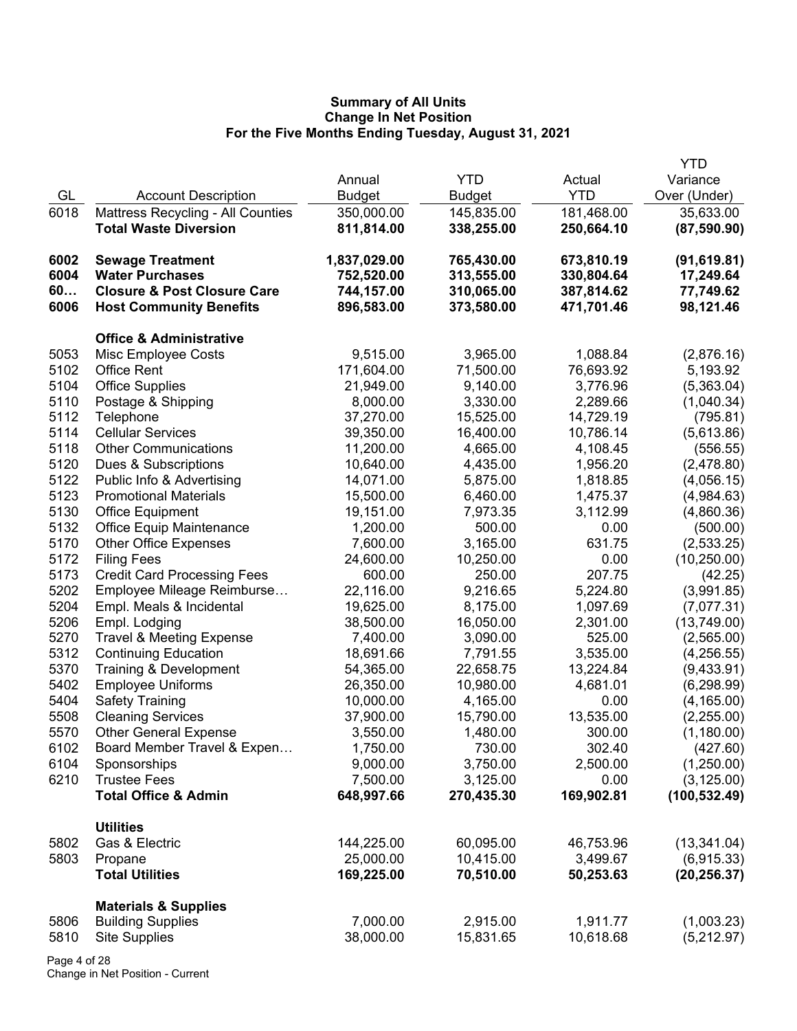|      |                                          |               |               |            | <b>YTD</b>    |
|------|------------------------------------------|---------------|---------------|------------|---------------|
|      |                                          | Annual        | <b>YTD</b>    | Actual     | Variance      |
| GL   | <b>Account Description</b>               | <b>Budget</b> | <b>Budget</b> | <b>YTD</b> | Over (Under)  |
| 6018 | <b>Mattress Recycling - All Counties</b> | 350,000.00    | 145,835.00    | 181,468.00 | 35,633.00     |
|      | <b>Total Waste Diversion</b>             | 811,814.00    | 338,255.00    | 250,664.10 | (87,590.90)   |
| 6002 | <b>Sewage Treatment</b>                  | 1,837,029.00  | 765,430.00    | 673,810.19 | (91, 619.81)  |
| 6004 | <b>Water Purchases</b>                   | 752,520.00    | 313,555.00    | 330,804.64 | 17,249.64     |
| 60   | <b>Closure &amp; Post Closure Care</b>   | 744,157.00    | 310,065.00    | 387,814.62 | 77,749.62     |
| 6006 | <b>Host Community Benefits</b>           | 896,583.00    | 373,580.00    | 471,701.46 | 98,121.46     |
|      | <b>Office &amp; Administrative</b>       |               |               |            |               |
| 5053 | Misc Employee Costs                      | 9,515.00      | 3,965.00      | 1,088.84   | (2,876.16)    |
| 5102 | <b>Office Rent</b>                       | 171,604.00    | 71,500.00     | 76,693.92  | 5,193.92      |
| 5104 | <b>Office Supplies</b>                   | 21,949.00     | 9,140.00      | 3,776.96   | (5,363.04)    |
| 5110 | Postage & Shipping                       | 8,000.00      | 3,330.00      | 2,289.66   | (1,040.34)    |
| 5112 | Telephone                                | 37,270.00     | 15,525.00     | 14,729.19  | (795.81)      |
| 5114 | <b>Cellular Services</b>                 | 39,350.00     | 16,400.00     | 10,786.14  | (5,613.86)    |
| 5118 | <b>Other Communications</b>              | 11,200.00     | 4,665.00      | 4,108.45   | (556.55)      |
| 5120 | Dues & Subscriptions                     | 10,640.00     | 4,435.00      | 1,956.20   | (2,478.80)    |
| 5122 | Public Info & Advertising                | 14,071.00     | 5,875.00      | 1,818.85   | (4,056.15)    |
| 5123 | <b>Promotional Materials</b>             | 15,500.00     | 6,460.00      | 1,475.37   | (4,984.63)    |
| 5130 | <b>Office Equipment</b>                  | 19,151.00     | 7,973.35      | 3,112.99   | (4,860.36)    |
| 5132 | Office Equip Maintenance                 | 1,200.00      | 500.00        | 0.00       | (500.00)      |
| 5170 | <b>Other Office Expenses</b>             | 7,600.00      | 3,165.00      | 631.75     | (2,533.25)    |
| 5172 | <b>Filing Fees</b>                       | 24,600.00     | 10,250.00     | 0.00       | (10, 250.00)  |
| 5173 | <b>Credit Card Processing Fees</b>       | 600.00        | 250.00        | 207.75     | (42.25)       |
| 5202 | Employee Mileage Reimburse               | 22,116.00     | 9,216.65      | 5,224.80   | (3,991.85)    |
| 5204 | Empl. Meals & Incidental                 | 19,625.00     | 8,175.00      | 1,097.69   | (7,077.31)    |
| 5206 | Empl. Lodging                            | 38,500.00     | 16,050.00     | 2,301.00   | (13,749.00)   |
| 5270 | <b>Travel &amp; Meeting Expense</b>      | 7,400.00      | 3,090.00      | 525.00     | (2,565.00)    |
| 5312 | <b>Continuing Education</b>              | 18,691.66     | 7,791.55      | 3,535.00   | (4,256.55)    |
| 5370 | Training & Development                   | 54,365.00     | 22,658.75     | 13,224.84  | (9,433.91)    |
| 5402 | <b>Employee Uniforms</b>                 | 26,350.00     | 10,980.00     | 4,681.01   | (6, 298.99)   |
| 5404 | <b>Safety Training</b>                   | 10,000.00     | 4,165.00      | 0.00       | (4, 165.00)   |
| 5508 | <b>Cleaning Services</b>                 | 37,900.00     | 15,790.00     | 13,535.00  | (2,255.00)    |
| 5570 | <b>Other General Expense</b>             | 3,550.00      | 1,480.00      | 300.00     | (1,180.00)    |
| 6102 | Board Member Travel & Expen              | 1,750.00      | 730.00        | 302.40     | (427.60)      |
| 6104 | Sponsorships                             | 9,000.00      | 3,750.00      | 2,500.00   | (1,250.00)    |
| 6210 | <b>Trustee Fees</b>                      | 7,500.00      | 3,125.00      | 0.00       | (3, 125.00)   |
|      | <b>Total Office &amp; Admin</b>          | 648,997.66    | 270,435.30    | 169,902.81 | (100, 532.49) |
|      | <b>Utilities</b>                         |               |               |            |               |
| 5802 | Gas & Electric                           | 144,225.00    | 60,095.00     | 46,753.96  | (13, 341.04)  |
| 5803 | Propane                                  | 25,000.00     | 10,415.00     | 3,499.67   | (6,915.33)    |
|      | <b>Total Utilities</b>                   | 169,225.00    | 70,510.00     | 50,253.63  | (20, 256.37)  |
|      | <b>Materials &amp; Supplies</b>          |               |               |            |               |
| 5806 | <b>Building Supplies</b>                 | 7,000.00      | 2,915.00      | 1,911.77   | (1,003.23)    |
| 5810 | <b>Site Supplies</b>                     | 38,000.00     | 15,831.65     | 10,618.68  | (5,212.97)    |
|      |                                          |               |               |            |               |

Page 4 of 28 Change in Net Position - Current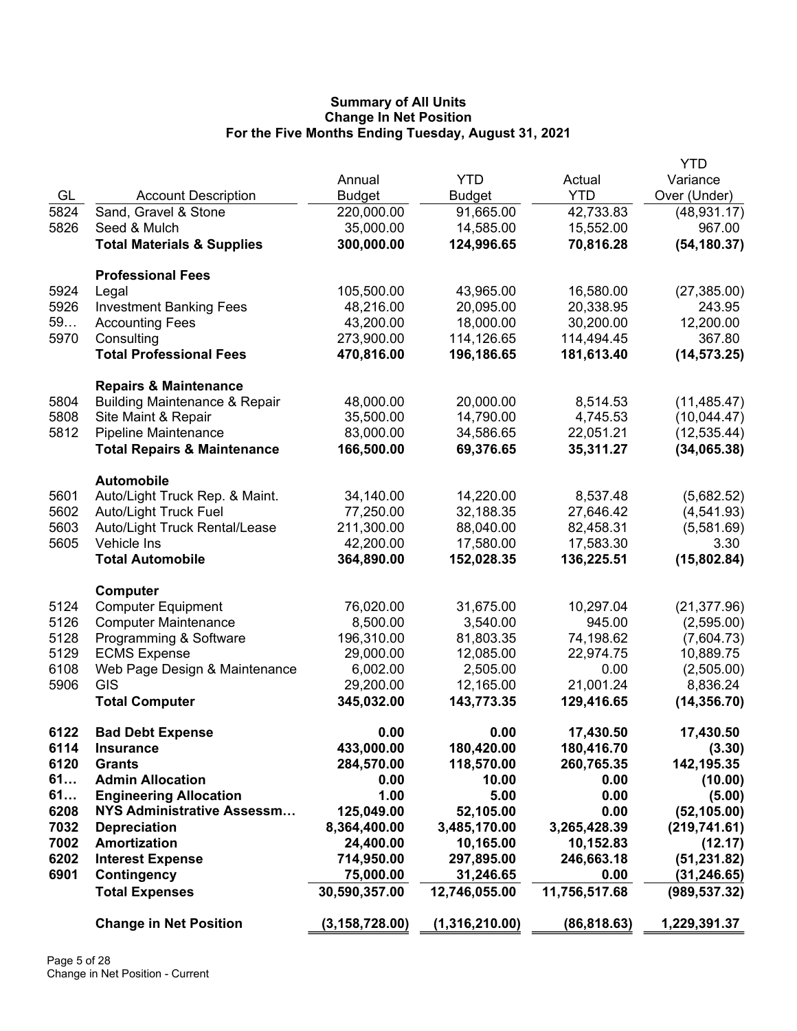|      |                                                                              |                  |                |               | <b>YTD</b>    |
|------|------------------------------------------------------------------------------|------------------|----------------|---------------|---------------|
|      |                                                                              | Annual           | <b>YTD</b>     | Actual        | Variance      |
| GL   | <b>Account Description</b>                                                   | <b>Budget</b>    | <b>Budget</b>  | <b>YTD</b>    | Over (Under)  |
| 5824 | Sand, Gravel & Stone                                                         | 220,000.00       | 91,665.00      | 42,733.83     | (48, 931.17)  |
| 5826 | Seed & Mulch                                                                 | 35,000.00        | 14,585.00      | 15,552.00     | 967.00        |
|      | <b>Total Materials &amp; Supplies</b>                                        | 300,000.00       | 124,996.65     | 70,816.28     | (54, 180.37)  |
|      |                                                                              |                  |                |               |               |
|      | <b>Professional Fees</b>                                                     |                  |                |               |               |
| 5924 | Legal                                                                        | 105,500.00       | 43,965.00      | 16,580.00     | (27, 385.00)  |
| 5926 | <b>Investment Banking Fees</b>                                               | 48,216.00        | 20,095.00      | 20,338.95     | 243.95        |
| 59   | <b>Accounting Fees</b>                                                       | 43,200.00        | 18,000.00      | 30,200.00     | 12,200.00     |
| 5970 | Consulting                                                                   | 273,900.00       | 114,126.65     | 114,494.45    | 367.80        |
|      | <b>Total Professional Fees</b>                                               | 470,816.00       | 196,186.65     | 181,613.40    | (14, 573.25)  |
|      |                                                                              |                  |                |               |               |
| 5804 | <b>Repairs &amp; Maintenance</b><br><b>Building Maintenance &amp; Repair</b> | 48,000.00        | 20,000.00      | 8,514.53      | (11, 485.47)  |
| 5808 | Site Maint & Repair                                                          | 35,500.00        | 14,790.00      | 4,745.53      | (10,044.47)   |
| 5812 |                                                                              | 83,000.00        |                |               |               |
|      | <b>Pipeline Maintenance</b>                                                  |                  | 34,586.65      | 22,051.21     | (12, 535.44)  |
|      | <b>Total Repairs &amp; Maintenance</b>                                       | 166,500.00       | 69,376.65      | 35,311.27     | (34,065.38)   |
|      | <b>Automobile</b>                                                            |                  |                |               |               |
| 5601 | Auto/Light Truck Rep. & Maint.                                               | 34,140.00        | 14,220.00      | 8,537.48      | (5,682.52)    |
| 5602 | <b>Auto/Light Truck Fuel</b>                                                 | 77,250.00        | 32,188.35      | 27,646.42     | (4, 541.93)   |
| 5603 | Auto/Light Truck Rental/Lease                                                | 211,300.00       | 88,040.00      | 82,458.31     | (5,581.69)    |
| 5605 | Vehicle Ins                                                                  | 42,200.00        | 17,580.00      | 17,583.30     | 3.30          |
|      | <b>Total Automobile</b>                                                      | 364,890.00       | 152,028.35     | 136,225.51    | (15,802.84)   |
|      |                                                                              |                  |                |               |               |
| 5124 | Computer                                                                     |                  |                |               |               |
|      | <b>Computer Equipment</b>                                                    | 76,020.00        | 31,675.00      | 10,297.04     | (21, 377.96)  |
| 5126 | <b>Computer Maintenance</b>                                                  | 8,500.00         | 3,540.00       | 945.00        | (2,595.00)    |
| 5128 | Programming & Software                                                       | 196,310.00       | 81,803.35      | 74,198.62     | (7,604.73)    |
| 5129 | <b>ECMS Expense</b>                                                          | 29,000.00        | 12,085.00      | 22,974.75     | 10,889.75     |
| 6108 | Web Page Design & Maintenance                                                | 6,002.00         | 2,505.00       | 0.00          | (2,505.00)    |
| 5906 | GIS                                                                          | 29,200.00        | 12,165.00      | 21,001.24     | 8,836.24      |
|      | <b>Total Computer</b>                                                        | 345,032.00       | 143,773.35     | 129,416.65    | (14, 356.70)  |
| 6122 | <b>Bad Debt Expense</b>                                                      | 0.00             | 0.00           | 17,430.50     | 17,430.50     |
| 6114 | <b>Insurance</b>                                                             | 433,000.00       | 180,420.00     | 180,416.70    | (3.30)        |
| 6120 | <b>Grants</b>                                                                | 284,570.00       | 118,570.00     | 260,765.35    | 142,195.35    |
| 61   | <b>Admin Allocation</b>                                                      | 0.00             | 10.00          | 0.00          | (10.00)       |
| 61   | <b>Engineering Allocation</b>                                                | 1.00             | 5.00           | 0.00          | (5.00)        |
| 6208 | <b>NYS Administrative Assessm</b>                                            | 125,049.00       | 52,105.00      | 0.00          | (52, 105.00)  |
| 7032 | <b>Depreciation</b>                                                          | 8,364,400.00     | 3,485,170.00   | 3,265,428.39  | (219, 741.61) |
| 7002 | Amortization                                                                 | 24,400.00        | 10,165.00      | 10,152.83     | (12.17)       |
| 6202 | <b>Interest Expense</b>                                                      | 714,950.00       | 297,895.00     | 246,663.18    | (51, 231.82)  |
| 6901 | <b>Contingency</b>                                                           | 75,000.00        | 31,246.65      | 0.00          | (31, 246.65)  |
|      | <b>Total Expenses</b>                                                        | 30,590,357.00    | 12,746,055.00  | 11,756,517.68 | (989, 537.32) |
|      |                                                                              |                  |                |               |               |
|      | <b>Change in Net Position</b>                                                | (3, 158, 728.00) | (1,316,210.00) | (86, 818.63)  | 1,229,391.37  |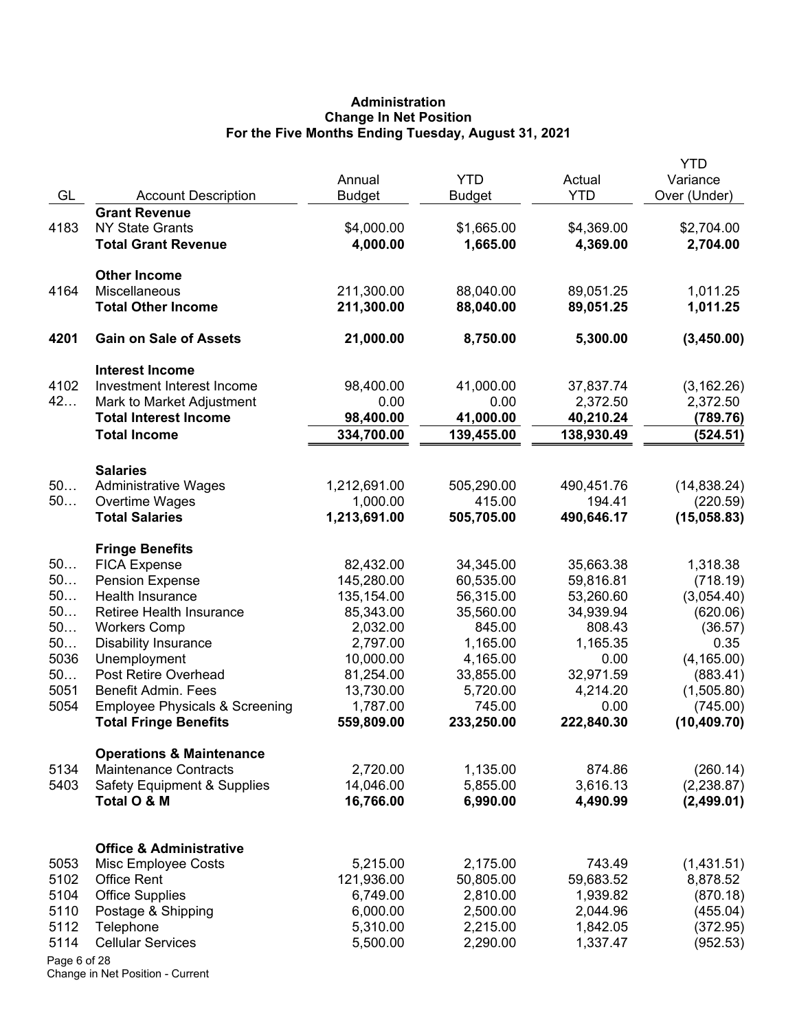# **Administration Change In Net Position For the Five Months Ending Tuesday, August 31, 2021**

|              |                                            | Annual                  | <b>YTD</b>             | Actual                 | YTD<br>Variance        |
|--------------|--------------------------------------------|-------------------------|------------------------|------------------------|------------------------|
| GL           | <b>Account Description</b>                 | <b>Budget</b>           | <b>Budget</b>          | <b>YTD</b>             | Over (Under)           |
|              | <b>Grant Revenue</b>                       |                         |                        |                        |                        |
| 4183         | <b>NY State Grants</b>                     | \$4,000.00              | \$1,665.00             | \$4,369.00             | \$2,704.00             |
|              | <b>Total Grant Revenue</b>                 | 4,000.00                | 1,665.00               | 4,369.00               | 2,704.00               |
|              | <b>Other Income</b>                        |                         |                        |                        |                        |
| 4164         | Miscellaneous                              | 211,300.00              | 88,040.00              | 89,051.25              | 1,011.25               |
|              | <b>Total Other Income</b>                  | 211,300.00              | 88,040.00              | 89,051.25              | 1,011.25               |
| 4201         | <b>Gain on Sale of Assets</b>              | 21,000.00               | 8,750.00               | 5,300.00               | (3,450.00)             |
|              | <b>Interest Income</b>                     |                         |                        |                        |                        |
| 4102         | Investment Interest Income                 | 98,400.00               | 41,000.00              | 37,837.74              | (3, 162.26)            |
| 42           | Mark to Market Adjustment                  | 0.00                    | 0.00                   | 2,372.50               | 2,372.50               |
|              | <b>Total Interest Income</b>               | 98,400.00               | 41,000.00              | 40,210.24              | (789.76)               |
|              | <b>Total Income</b>                        | 334,700.00              | 139,455.00             | 138,930.49             | (524.51)               |
|              | <b>Salaries</b>                            |                         |                        |                        |                        |
| 50           | <b>Administrative Wages</b>                | 1,212,691.00            | 505,290.00             | 490,451.76             | (14, 838.24)           |
| 50           | Overtime Wages                             | 1,000.00                | 415.00                 | 194.41                 | (220.59)               |
|              | <b>Total Salaries</b>                      | 1,213,691.00            | 505,705.00             | 490,646.17             | (15,058.83)            |
|              | <b>Fringe Benefits</b>                     |                         |                        |                        |                        |
| 50           | <b>FICA Expense</b>                        | 82,432.00               | 34,345.00              | 35,663.38              | 1,318.38               |
| 50<br>50     | <b>Pension Expense</b><br>Health Insurance | 145,280.00              | 60,535.00              | 59,816.81              | (718.19)               |
| 50           | Retiree Health Insurance                   | 135,154.00<br>85,343.00 | 56,315.00<br>35,560.00 | 53,260.60<br>34,939.94 | (3,054.40)<br>(620.06) |
| 50           | <b>Workers Comp</b>                        | 2,032.00                | 845.00                 | 808.43                 | (36.57)                |
| 50           | <b>Disability Insurance</b>                | 2,797.00                | 1,165.00               | 1,165.35               | 0.35                   |
| 5036         | Unemployment                               | 10,000.00               | 4,165.00               | 0.00                   | (4, 165.00)            |
| 50           | Post Retire Overhead                       | 81,254.00               | 33,855.00              | 32,971.59              | (883.41)               |
| 5051         | <b>Benefit Admin, Fees</b>                 | 13,730.00               | 5,720.00               | 4,214.20               | (1,505.80)             |
| 5054         | <b>Employee Physicals &amp; Screening</b>  | 1,787.00                | 745.00                 | 0.00                   | (745.00)               |
|              | <b>Total Fringe Benefits</b>               | 559,809.00              | 233,250.00             | 222,840.30             | (10, 409.70)           |
|              | <b>Operations &amp; Maintenance</b>        |                         |                        |                        |                        |
| 5134         | <b>Maintenance Contracts</b>               | 2,720.00                | 1,135.00               | 874.86                 | (260.14)               |
| 5403         | <b>Safety Equipment &amp; Supplies</b>     | 14,046.00               | 5,855.00               | 3,616.13               | (2,238.87)             |
|              | Total O & M                                | 16,766.00               | 6,990.00               | 4,490.99               | (2,499.01)             |
|              | <b>Office &amp; Administrative</b>         |                         |                        |                        |                        |
| 5053         | Misc Employee Costs                        | 5,215.00                | 2,175.00               | 743.49                 | (1,431.51)             |
| 5102         | <b>Office Rent</b>                         | 121,936.00              | 50,805.00              | 59,683.52              | 8,878.52               |
| 5104         | <b>Office Supplies</b>                     | 6,749.00                | 2,810.00               | 1,939.82               | (870.18)               |
| 5110         | Postage & Shipping                         | 6,000.00                | 2,500.00               | 2,044.96               | (455.04)               |
| 5112         | Telephone                                  | 5,310.00                | 2,215.00               | 1,842.05               | (372.95)               |
| 5114         | <b>Cellular Services</b>                   | 5,500.00                | 2,290.00               | 1,337.47               | (952.53)               |
| Page 6 of 28 |                                            |                         |                        |                        |                        |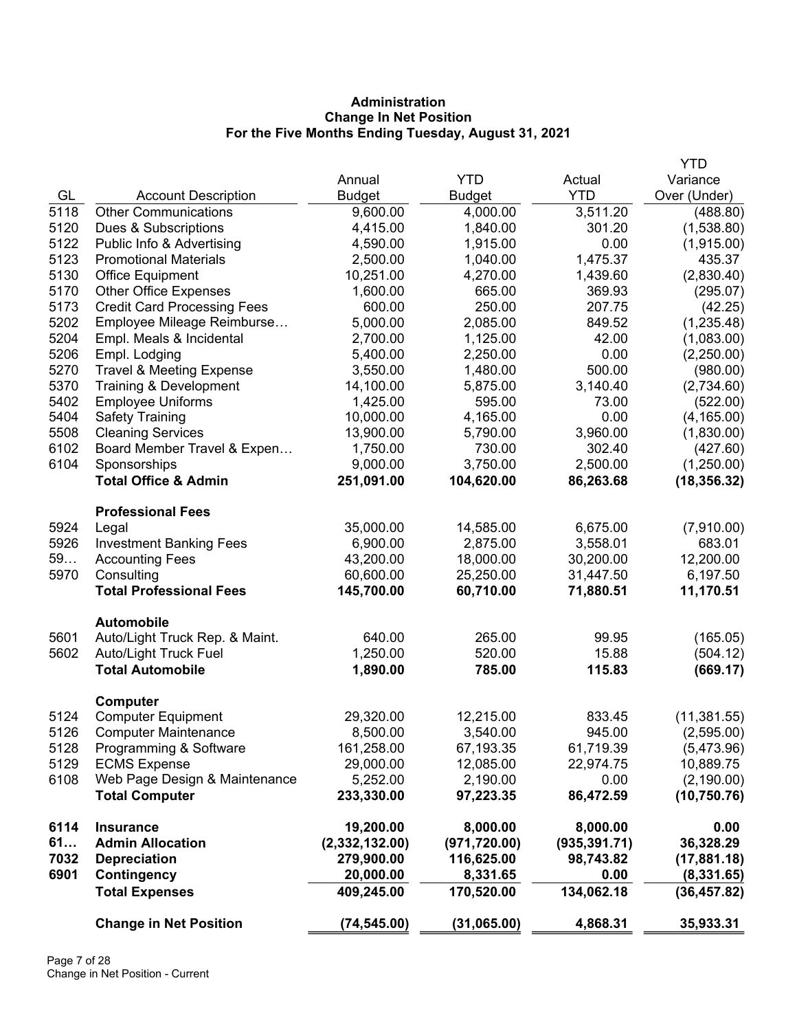# **Administration Change In Net Position For the Five Months Ending Tuesday, August 31, 2021**

|      |                                                  |                      |                  |                 | <b>YTD</b>           |
|------|--------------------------------------------------|----------------------|------------------|-----------------|----------------------|
|      |                                                  | Annual               | <b>YTD</b>       | Actual          | Variance             |
| GL   | <b>Account Description</b>                       | <b>Budget</b>        | <b>Budget</b>    | <b>YTD</b>      | Over (Under)         |
| 5118 | <b>Other Communications</b>                      | 9,600.00             | 4,000.00         | 3,511.20        | (488.80)             |
| 5120 | Dues & Subscriptions                             | 4,415.00             | 1,840.00         | 301.20          | (1,538.80)           |
| 5122 | Public Info & Advertising                        | 4,590.00             | 1,915.00         | 0.00            | (1,915.00)           |
| 5123 | <b>Promotional Materials</b>                     | 2,500.00             | 1,040.00         | 1,475.37        | 435.37               |
| 5130 | <b>Office Equipment</b>                          | 10,251.00            | 4,270.00         | 1,439.60        | (2,830.40)           |
| 5170 | <b>Other Office Expenses</b>                     | 1,600.00             | 665.00           | 369.93          | (295.07)             |
| 5173 | <b>Credit Card Processing Fees</b>               | 600.00               | 250.00           | 207.75          | (42.25)              |
| 5202 | Employee Mileage Reimburse                       | 5,000.00             | 2,085.00         | 849.52          | (1, 235.48)          |
| 5204 | Empl. Meals & Incidental                         | 2,700.00             | 1,125.00         | 42.00           | (1,083.00)           |
| 5206 | Empl. Lodging                                    | 5,400.00             | 2,250.00         | 0.00            | (2,250.00)           |
| 5270 | <b>Travel &amp; Meeting Expense</b>              | 3,550.00             | 1,480.00         | 500.00          | (980.00)             |
| 5370 | Training & Development                           | 14,100.00            | 5,875.00         | 3,140.40        | (2,734.60)           |
| 5402 | <b>Employee Uniforms</b>                         | 1,425.00             | 595.00           | 73.00           | (522.00)             |
| 5404 | <b>Safety Training</b>                           | 10,000.00            | 4,165.00         | 0.00            | (4, 165.00)          |
| 5508 | <b>Cleaning Services</b>                         | 13,900.00            | 5,790.00         | 3,960.00        | (1,830.00)           |
| 6102 | Board Member Travel & Expen                      | 1,750.00             | 730.00           | 302.40          | (427.60)             |
| 6104 | Sponsorships                                     | 9,000.00             | 3,750.00         | 2,500.00        | (1,250.00)           |
|      | <b>Total Office &amp; Admin</b>                  | 251,091.00           | 104,620.00       | 86,263.68       | (18, 356.32)         |
|      | <b>Professional Fees</b>                         |                      |                  |                 |                      |
| 5924 | Legal                                            | 35,000.00            | 14,585.00        | 6,675.00        | (7,910.00)           |
| 5926 | <b>Investment Banking Fees</b>                   | 6,900.00             | 2,875.00         | 3,558.01        | 683.01               |
| 59   | <b>Accounting Fees</b>                           | 43,200.00            | 18,000.00        | 30,200.00       | 12,200.00            |
| 5970 | Consulting                                       | 60,600.00            | 25,250.00        | 31,447.50       | 6,197.50             |
|      | <b>Total Professional Fees</b>                   | 145,700.00           | 60,710.00        | 71,880.51       | 11,170.51            |
|      | <b>Automobile</b>                                |                      |                  |                 |                      |
| 5601 | Auto/Light Truck Rep. & Maint.                   | 640.00               | 265.00           | 99.95           | (165.05)             |
| 5602 | Auto/Light Truck Fuel<br><b>Total Automobile</b> | 1,250.00<br>1,890.00 | 520.00<br>785.00 | 15.88<br>115.83 | (504.12)<br>(669.17) |
|      |                                                  |                      |                  |                 |                      |
| 5124 | Computer<br><b>Computer Equipment</b>            | 29,320.00            | 12,215.00        | 833.45          | (11, 381.55)         |
| 5126 | <b>Computer Maintenance</b>                      | 8,500.00             | 3,540.00         | 945.00          | (2,595.00)           |
| 5128 | Programming & Software                           | 161,258.00           | 67,193.35        | 61,719.39       | (5,473.96)           |
| 5129 | <b>ECMS Expense</b>                              | 29,000.00            | 12,085.00        | 22,974.75       | 10,889.75            |
| 6108 | Web Page Design & Maintenance                    | 5,252.00             | 2,190.00         | 0.00            | (2, 190.00)          |
|      | <b>Total Computer</b>                            | 233,330.00           | 97,223.35        | 86,472.59       | (10, 750.76)         |
| 6114 | <b>Insurance</b>                                 | 19,200.00            | 8,000.00         | 8,000.00        | 0.00                 |
| 61   | <b>Admin Allocation</b>                          | (2,332,132.00)       | (971, 720.00)    | (935, 391.71)   | 36,328.29            |
| 7032 | <b>Depreciation</b>                              | 279,900.00           | 116,625.00       | 98,743.82       | (17,881.18)          |
| 6901 | Contingency                                      | 20,000.00            | 8,331.65         | 0.00            | (8, 331.65)          |
|      | <b>Total Expenses</b>                            | 409,245.00           | 170,520.00       | 134,062.18      | (36, 457.82)         |
|      | <b>Change in Net Position</b>                    | (74, 545.00)         | (31,065.00)      | 4,868.31        | 35,933.31            |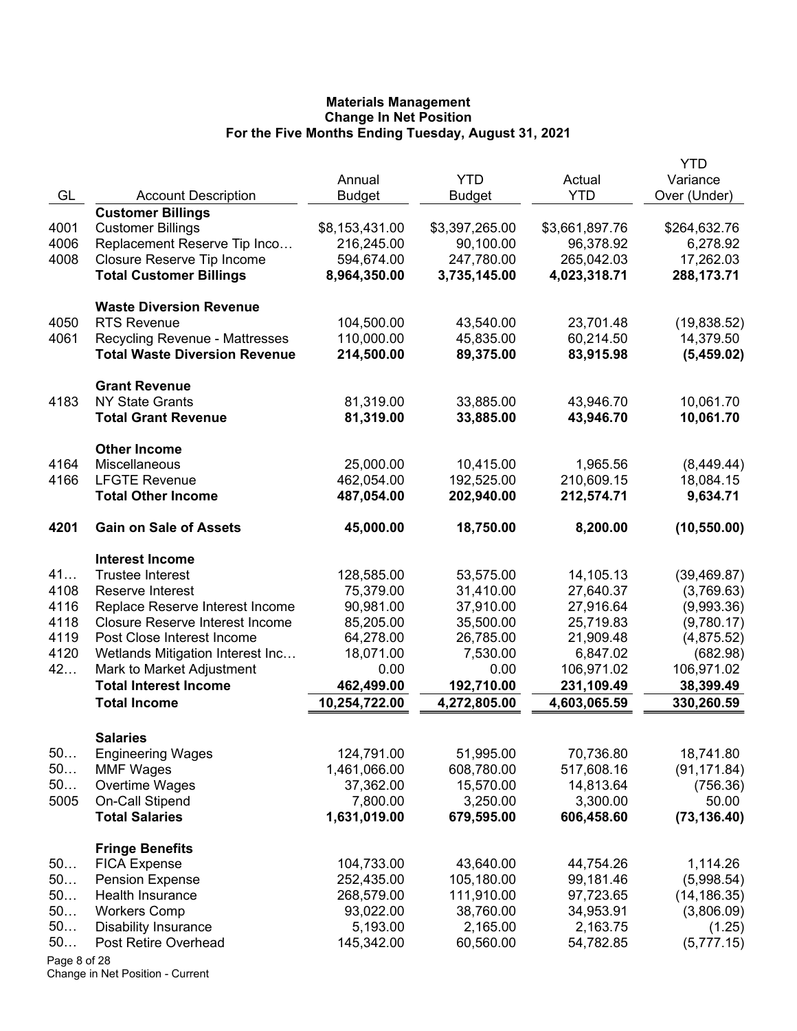|              |                                        |                |                |                | YTD          |
|--------------|----------------------------------------|----------------|----------------|----------------|--------------|
|              |                                        | Annual         | <b>YTD</b>     | Actual         | Variance     |
| GL           | <b>Account Description</b>             | <b>Budget</b>  | <b>Budget</b>  | <b>YTD</b>     | Over (Under) |
|              | <b>Customer Billings</b>               |                |                |                |              |
| 4001         | <b>Customer Billings</b>               | \$8,153,431.00 | \$3,397,265.00 | \$3,661,897.76 | \$264,632.76 |
| 4006         | Replacement Reserve Tip Inco           | 216,245.00     | 90,100.00      | 96,378.92      | 6,278.92     |
| 4008         | Closure Reserve Tip Income             | 594,674.00     | 247,780.00     | 265,042.03     | 17,262.03    |
|              | <b>Total Customer Billings</b>         | 8,964,350.00   | 3,735,145.00   | 4,023,318.71   | 288,173.71   |
|              | <b>Waste Diversion Revenue</b>         |                |                |                |              |
| 4050         | <b>RTS Revenue</b>                     | 104,500.00     | 43,540.00      | 23,701.48      | (19,838.52)  |
| 4061         | <b>Recycling Revenue - Mattresses</b>  | 110,000.00     | 45,835.00      | 60,214.50      | 14,379.50    |
|              | <b>Total Waste Diversion Revenue</b>   | 214,500.00     | 89,375.00      | 83,915.98      | (5,459.02)   |
|              | <b>Grant Revenue</b>                   |                |                |                |              |
| 4183         | <b>NY State Grants</b>                 | 81,319.00      | 33,885.00      | 43,946.70      | 10,061.70    |
|              | <b>Total Grant Revenue</b>             | 81,319.00      | 33,885.00      | 43,946.70      | 10,061.70    |
|              | <b>Other Income</b>                    |                |                |                |              |
| 4164         | Miscellaneous                          | 25,000.00      | 10,415.00      | 1,965.56       | (8,449.44)   |
| 4166         | <b>LFGTE Revenue</b>                   | 462,054.00     | 192,525.00     | 210,609.15     | 18,084.15    |
|              | <b>Total Other Income</b>              | 487,054.00     | 202,940.00     | 212,574.71     | 9,634.71     |
| 4201         | <b>Gain on Sale of Assets</b>          | 45,000.00      | 18,750.00      | 8,200.00       | (10, 550.00) |
|              | <b>Interest Income</b>                 |                |                |                |              |
| 41           | <b>Trustee Interest</b>                | 128,585.00     | 53,575.00      | 14,105.13      | (39, 469.87) |
| 4108         | Reserve Interest                       | 75,379.00      | 31,410.00      | 27,640.37      | (3,769.63)   |
| 4116         | Replace Reserve Interest Income        | 90,981.00      | 37,910.00      | 27,916.64      | (9,993.36)   |
| 4118         | <b>Closure Reserve Interest Income</b> | 85,205.00      | 35,500.00      | 25,719.83      | (9,780.17)   |
| 4119         | Post Close Interest Income             | 64,278.00      | 26,785.00      | 21,909.48      | (4,875.52)   |
| 4120         | Wetlands Mitigation Interest Inc       | 18,071.00      | 7,530.00       | 6,847.02       | (682.98)     |
| 42           | Mark to Market Adjustment              | 0.00           | 0.00           | 106,971.02     | 106,971.02   |
|              | <b>Total Interest Income</b>           | 462,499.00     | 192,710.00     | 231,109.49     | 38,399.49    |
|              | <b>Total Income</b>                    | 10,254,722.00  | 4,272,805.00   | 4,603,065.59   | 330,260.59   |
|              | <b>Salaries</b>                        |                |                |                |              |
| 50           | <b>Engineering Wages</b>               | 124,791.00     | 51,995.00      | 70,736.80      | 18,741.80    |
| 50           | <b>MMF Wages</b>                       | 1,461,066.00   | 608,780.00     | 517,608.16     | (91, 171.84) |
| 50           | Overtime Wages                         | 37,362.00      | 15,570.00      | 14,813.64      | (756.36)     |
| 5005         | <b>On-Call Stipend</b>                 | 7,800.00       | 3,250.00       | 3,300.00       | 50.00        |
|              | <b>Total Salaries</b>                  | 1,631,019.00   | 679,595.00     | 606,458.60     | (73, 136.40) |
|              | <b>Fringe Benefits</b>                 |                |                |                |              |
| 50           | <b>FICA Expense</b>                    | 104,733.00     | 43,640.00      | 44,754.26      | 1,114.26     |
| 50           | <b>Pension Expense</b>                 | 252,435.00     | 105,180.00     | 99,181.46      | (5,998.54)   |
| 50           | Health Insurance                       | 268,579.00     | 111,910.00     | 97,723.65      | (14, 186.35) |
| 50           | <b>Workers Comp</b>                    | 93,022.00      | 38,760.00      | 34,953.91      | (3,806.09)   |
| 50           | <b>Disability Insurance</b>            | 5,193.00       | 2,165.00       | 2,163.75       | (1.25)       |
| 50           | Post Retire Overhead                   | 145,342.00     | 60,560.00      | 54,782.85      | (5,777.15)   |
| Page 8 of 28 |                                        |                |                |                |              |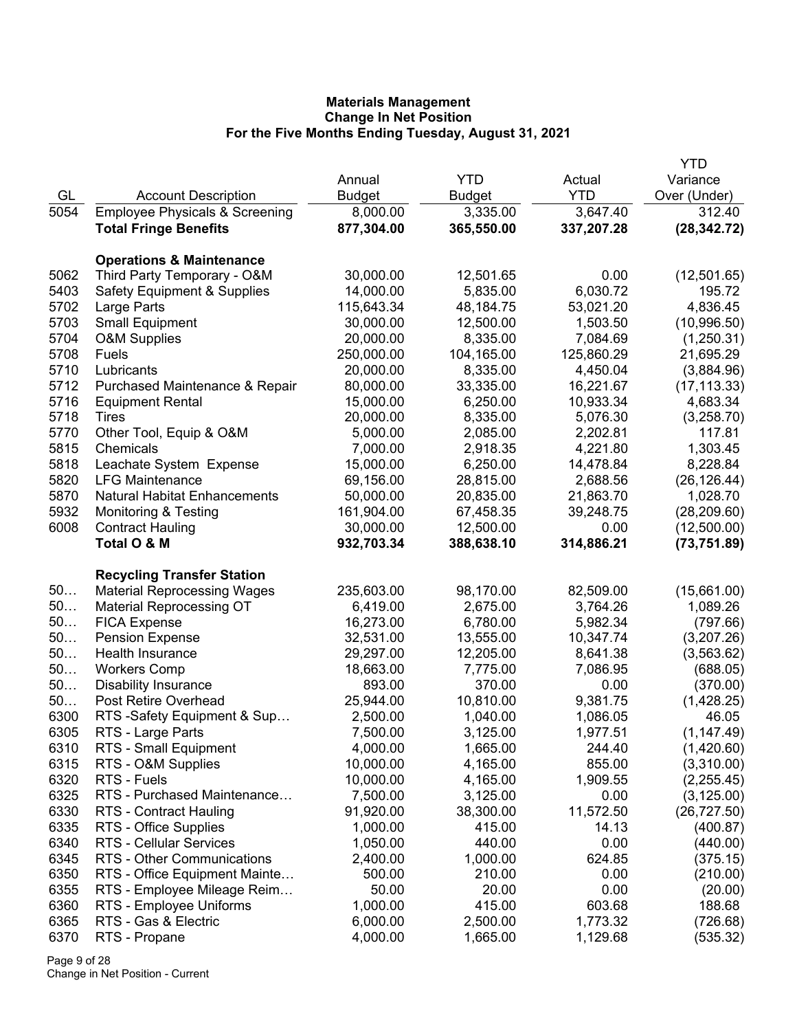|      |                                           |               |               |            | <b>YTD</b>   |
|------|-------------------------------------------|---------------|---------------|------------|--------------|
|      |                                           | Annual        | <b>YTD</b>    | Actual     | Variance     |
| GL   | <b>Account Description</b>                | <b>Budget</b> | <b>Budget</b> | <b>YTD</b> | Over (Under) |
| 5054 | <b>Employee Physicals &amp; Screening</b> | 8,000.00      | 3,335.00      | 3,647.40   | 312.40       |
|      | <b>Total Fringe Benefits</b>              | 877,304.00    | 365,550.00    | 337,207.28 | (28, 342.72) |
|      |                                           |               |               |            |              |
|      | <b>Operations &amp; Maintenance</b>       |               |               |            |              |
| 5062 | Third Party Temporary - O&M               | 30,000.00     | 12,501.65     | 0.00       | (12,501.65)  |
| 5403 | <b>Safety Equipment &amp; Supplies</b>    | 14,000.00     | 5,835.00      | 6,030.72   | 195.72       |
| 5702 | Large Parts                               | 115,643.34    | 48,184.75     | 53,021.20  | 4,836.45     |
| 5703 | <b>Small Equipment</b>                    | 30,000.00     | 12,500.00     | 1,503.50   | (10,996.50)  |
| 5704 | <b>O&amp;M Supplies</b>                   | 20,000.00     | 8,335.00      | 7,084.69   | (1,250.31)   |
| 5708 | Fuels                                     | 250,000.00    | 104,165.00    | 125,860.29 | 21,695.29    |
| 5710 | Lubricants                                | 20,000.00     | 8,335.00      | 4,450.04   | (3,884.96)   |
| 5712 | Purchased Maintenance & Repair            | 80,000.00     | 33,335.00     | 16,221.67  | (17, 113.33) |
| 5716 | <b>Equipment Rental</b>                   | 15,000.00     | 6,250.00      | 10,933.34  | 4,683.34     |
| 5718 | Tires                                     | 20,000.00     | 8,335.00      | 5,076.30   | (3,258.70)   |
| 5770 | Other Tool, Equip & O&M                   | 5,000.00      | 2,085.00      | 2,202.81   | 117.81       |
| 5815 | Chemicals                                 | 7,000.00      | 2,918.35      | 4,221.80   | 1,303.45     |
| 5818 | Leachate System Expense                   | 15,000.00     | 6,250.00      | 14,478.84  | 8,228.84     |
| 5820 | <b>LFG Maintenance</b>                    | 69,156.00     | 28,815.00     | 2,688.56   | (26, 126.44) |
| 5870 | <b>Natural Habitat Enhancements</b>       | 50,000.00     | 20,835.00     | 21,863.70  | 1,028.70     |
| 5932 | <b>Monitoring &amp; Testing</b>           | 161,904.00    | 67,458.35     | 39,248.75  | (28, 209.60) |
| 6008 | <b>Contract Hauling</b>                   | 30,000.00     | 12,500.00     | 0.00       | (12,500.00)  |
|      | Total O & M                               | 932,703.34    | 388,638.10    | 314,886.21 | (73, 751.89) |
|      | <b>Recycling Transfer Station</b>         |               |               |            |              |
| 50   | <b>Material Reprocessing Wages</b>        | 235,603.00    | 98,170.00     | 82,509.00  | (15,661.00)  |
| 50   | <b>Material Reprocessing OT</b>           | 6,419.00      | 2,675.00      | 3,764.26   | 1,089.26     |
| 50   | <b>FICA Expense</b>                       | 16,273.00     | 6,780.00      | 5,982.34   | (797.66)     |
| 50   | <b>Pension Expense</b>                    | 32,531.00     | 13,555.00     | 10,347.74  | (3,207.26)   |
| 50   | Health Insurance                          | 29,297.00     | 12,205.00     | 8,641.38   | (3, 563.62)  |
| 50   | <b>Workers Comp</b>                       | 18,663.00     | 7,775.00      | 7,086.95   | (688.05)     |
| 50   | <b>Disability Insurance</b>               | 893.00        | 370.00        | 0.00       | (370.00)     |
| 50   | Post Retire Overhead                      | 25,944.00     | 10,810.00     | 9,381.75   | (1,428.25)   |
| 6300 | RTS -Safety Equipment & Sup               | 2,500.00      | 1,040.00      | 1,086.05   | 46.05        |
| 6305 | RTS - Large Parts                         | 7,500.00      | 3,125.00      | 1,977.51   | (1, 147.49)  |
| 6310 | RTS - Small Equipment                     | 4,000.00      | 1,665.00      | 244.40     | (1,420.60)   |
| 6315 |                                           | 10,000.00     | 4,165.00      | 855.00     | (3,310.00)   |
| 6320 | RTS - O&M Supplies<br>RTS - Fuels         | 10,000.00     |               | 1,909.55   |              |
|      | RTS - Purchased Maintenance               |               | 4,165.00      |            | (2,255.45)   |
| 6325 |                                           | 7,500.00      | 3,125.00      | 0.00       | (3, 125.00)  |
| 6330 | <b>RTS - Contract Hauling</b>             | 91,920.00     | 38,300.00     | 11,572.50  | (26, 727.50) |
| 6335 | RTS - Office Supplies                     | 1,000.00      | 415.00        | 14.13      | (400.87)     |
| 6340 | RTS - Cellular Services                   | 1,050.00      | 440.00        | 0.00       | (440.00)     |
| 6345 | RTS - Other Communications                | 2,400.00      | 1,000.00      | 624.85     | (375.15)     |
| 6350 | RTS - Office Equipment Mainte             | 500.00        | 210.00        | 0.00       | (210.00)     |
| 6355 | RTS - Employee Mileage Reim               | 50.00         | 20.00         | 0.00       | (20.00)      |
| 6360 | RTS - Employee Uniforms                   | 1,000.00      | 415.00        | 603.68     | 188.68       |
| 6365 | RTS - Gas & Electric                      | 6,000.00      | 2,500.00      | 1,773.32   | (726.68)     |
| 6370 | RTS - Propane                             | 4,000.00      | 1,665.00      | 1,129.68   | (535.32)     |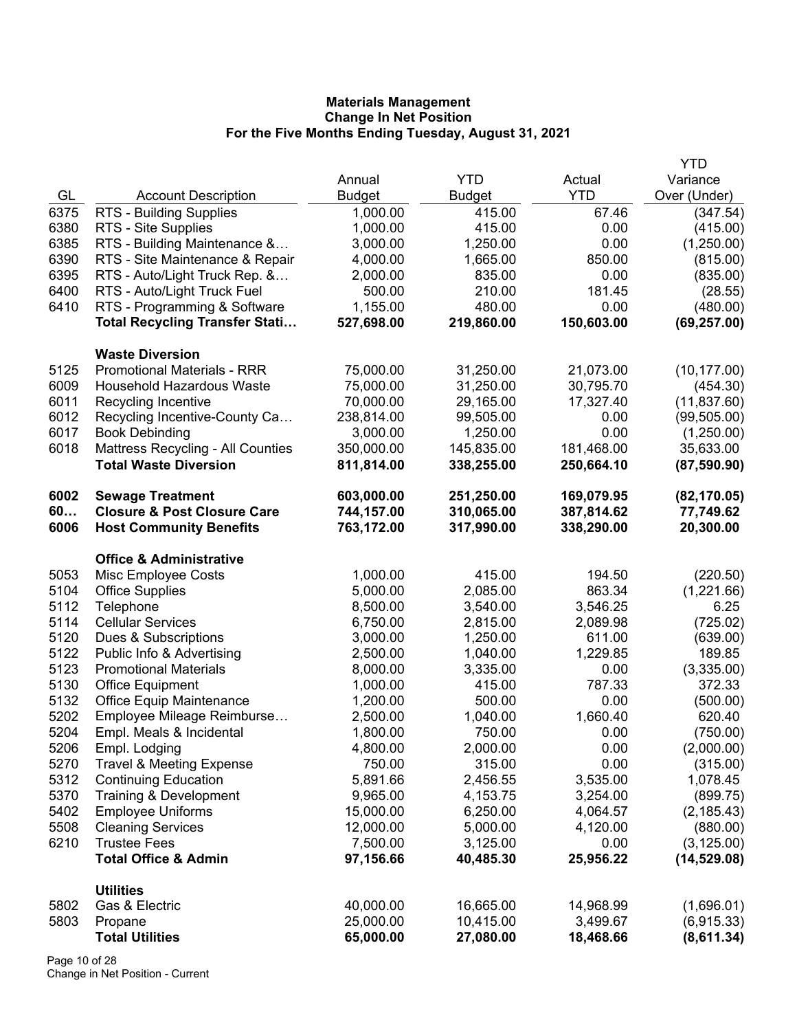|      |                                        |               |               |            | <b>YTD</b>   |
|------|----------------------------------------|---------------|---------------|------------|--------------|
|      |                                        | Annual        | <b>YTD</b>    | Actual     | Variance     |
| GL   | <b>Account Description</b>             | <b>Budget</b> | <b>Budget</b> | <b>YTD</b> | Over (Under) |
| 6375 | <b>RTS - Building Supplies</b>         | 1,000.00      | 415.00        | 67.46      | (347.54)     |
| 6380 | RTS - Site Supplies                    | 1,000.00      | 415.00        | 0.00       | (415.00)     |
| 6385 | RTS - Building Maintenance &           | 3,000.00      | 1,250.00      | 0.00       | (1,250.00)   |
| 6390 | RTS - Site Maintenance & Repair        | 4,000.00      | 1,665.00      | 850.00     | (815.00)     |
| 6395 | RTS - Auto/Light Truck Rep. &          | 2,000.00      | 835.00        | 0.00       | (835.00)     |
| 6400 | RTS - Auto/Light Truck Fuel            | 500.00        | 210.00        | 181.45     | (28.55)      |
| 6410 | RTS - Programming & Software           | 1,155.00      | 480.00        | 0.00       | (480.00)     |
|      | <b>Total Recycling Transfer Stati</b>  | 527,698.00    | 219,860.00    | 150,603.00 | (69, 257.00) |
|      | <b>Waste Diversion</b>                 |               |               |            |              |
| 5125 | <b>Promotional Materials - RRR</b>     | 75,000.00     | 31,250.00     | 21,073.00  | (10, 177.00) |
| 6009 | <b>Household Hazardous Waste</b>       | 75,000.00     | 31,250.00     | 30,795.70  | (454.30)     |
| 6011 | Recycling Incentive                    | 70,000.00     | 29,165.00     | 17,327.40  | (11, 837.60) |
| 6012 | Recycling Incentive-County Ca          | 238,814.00    | 99,505.00     | 0.00       | (99, 505.00) |
| 6017 | <b>Book Debinding</b>                  | 3,000.00      | 1,250.00      | 0.00       | (1,250.00)   |
| 6018 | Mattress Recycling - All Counties      | 350,000.00    | 145,835.00    | 181,468.00 | 35,633.00    |
|      | <b>Total Waste Diversion</b>           | 811,814.00    | 338,255.00    | 250,664.10 | (87,590.90)  |
| 6002 | <b>Sewage Treatment</b>                | 603,000.00    | 251,250.00    | 169,079.95 | (82, 170.05) |
| 60   | <b>Closure &amp; Post Closure Care</b> | 744,157.00    | 310,065.00    | 387,814.62 | 77,749.62    |
| 6006 | <b>Host Community Benefits</b>         | 763,172.00    | 317,990.00    | 338,290.00 | 20,300.00    |
|      | <b>Office &amp; Administrative</b>     |               |               |            |              |
| 5053 | Misc Employee Costs                    | 1,000.00      | 415.00        | 194.50     | (220.50)     |
| 5104 | <b>Office Supplies</b>                 | 5,000.00      | 2,085.00      | 863.34     | (1,221.66)   |
| 5112 | Telephone                              | 8,500.00      | 3,540.00      | 3,546.25   | 6.25         |
| 5114 | <b>Cellular Services</b>               | 6,750.00      | 2,815.00      | 2,089.98   | (725.02)     |
| 5120 | Dues & Subscriptions                   | 3,000.00      | 1,250.00      | 611.00     | (639.00)     |
| 5122 | Public Info & Advertising              | 2,500.00      | 1,040.00      | 1,229.85   | 189.85       |
| 5123 | <b>Promotional Materials</b>           | 8,000.00      | 3,335.00      | 0.00       | (3,335.00)   |
| 5130 | <b>Office Equipment</b>                | 1,000.00      | 415.00        | 787.33     | 372.33       |
| 5132 | <b>Office Equip Maintenance</b>        | 1,200.00      | 500.00        | 0.00       | (500.00)     |
| 5202 | Employee Mileage Reimburse             | 2,500.00      | 1,040.00      | 1,660.40   | 620.40       |
| 5204 | Empl. Meals & Incidental               | 1,800.00      | 750.00        | 0.00       | (750.00)     |
| 5206 | Empl. Lodging                          | 4,800.00      | 2,000.00      | 0.00       | (2,000.00)   |
| 5270 | <b>Travel &amp; Meeting Expense</b>    | 750.00        | 315.00        | 0.00       | (315.00)     |
| 5312 | <b>Continuing Education</b>            | 5,891.66      | 2,456.55      | 3,535.00   | 1,078.45     |
| 5370 | Training & Development                 | 9,965.00      | 4,153.75      | 3,254.00   | (899.75)     |
| 5402 | <b>Employee Uniforms</b>               | 15,000.00     | 6,250.00      | 4,064.57   | (2, 185.43)  |
| 5508 | <b>Cleaning Services</b>               | 12,000.00     | 5,000.00      | 4,120.00   | (880.00)     |
| 6210 | <b>Trustee Fees</b>                    | 7,500.00      | 3,125.00      | 0.00       | (3, 125.00)  |
|      | <b>Total Office &amp; Admin</b>        | 97,156.66     | 40,485.30     | 25,956.22  | (14, 529.08) |
|      | <b>Utilities</b>                       |               |               |            |              |
| 5802 | Gas & Electric                         | 40,000.00     | 16,665.00     | 14,968.99  | (1,696.01)   |
| 5803 | Propane                                | 25,000.00     | 10,415.00     | 3,499.67   | (6,915.33)   |
|      | <b>Total Utilities</b>                 | 65,000.00     | 27,080.00     | 18,468.66  | (8,611.34)   |

Page 10 of 28 Change in Net Position - Current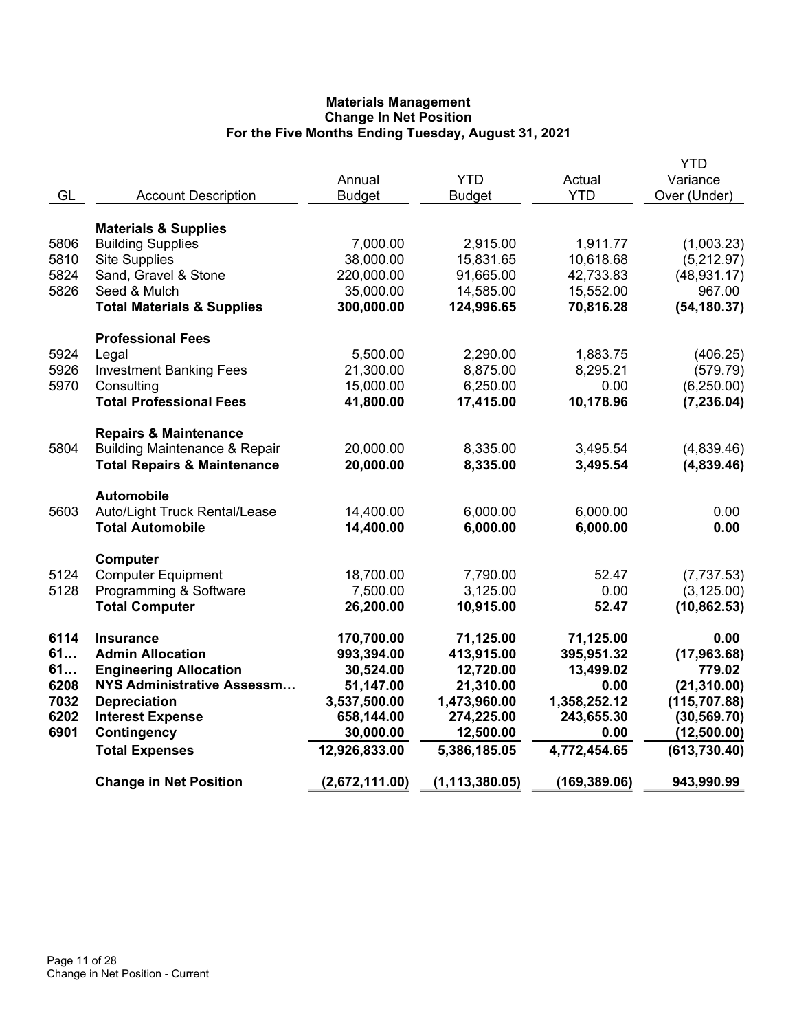|      |                                          | Annual         | <b>YTD</b>       | Actual       | <b>YTD</b><br>Variance |
|------|------------------------------------------|----------------|------------------|--------------|------------------------|
| GL   | <b>Account Description</b>               | <b>Budget</b>  | <b>Budget</b>    | <b>YTD</b>   | Over (Under)           |
|      |                                          |                |                  |              |                        |
|      | <b>Materials &amp; Supplies</b>          |                |                  |              |                        |
| 5806 | <b>Building Supplies</b>                 | 7,000.00       | 2,915.00         | 1,911.77     | (1,003.23)             |
| 5810 | Site Supplies                            | 38,000.00      | 15,831.65        | 10,618.68    | (5,212.97)             |
| 5824 | Sand, Gravel & Stone                     | 220,000.00     | 91,665.00        | 42,733.83    | (48, 931.17)           |
| 5826 | Seed & Mulch                             | 35,000.00      | 14,585.00        | 15,552.00    | 967.00                 |
|      | <b>Total Materials &amp; Supplies</b>    | 300,000.00     | 124,996.65       | 70,816.28    | (54, 180.37)           |
|      | <b>Professional Fees</b>                 |                |                  |              |                        |
| 5924 | Legal                                    | 5,500.00       | 2,290.00         | 1,883.75     | (406.25)               |
| 5926 | <b>Investment Banking Fees</b>           | 21,300.00      | 8,875.00         | 8,295.21     | (579.79)               |
| 5970 | Consulting                               | 15,000.00      | 6,250.00         | 0.00         | (6,250.00)             |
|      | <b>Total Professional Fees</b>           | 41,800.00      | 17,415.00        | 10,178.96    | (7, 236.04)            |
|      | <b>Repairs &amp; Maintenance</b>         |                |                  |              |                        |
| 5804 | <b>Building Maintenance &amp; Repair</b> | 20,000.00      | 8,335.00         | 3,495.54     | (4,839.46)             |
|      | <b>Total Repairs &amp; Maintenance</b>   | 20,000.00      | 8,335.00         | 3,495.54     | (4,839.46)             |
|      | <b>Automobile</b>                        |                |                  |              |                        |
| 5603 | Auto/Light Truck Rental/Lease            | 14,400.00      | 6,000.00         | 6,000.00     | 0.00                   |
|      | <b>Total Automobile</b>                  | 14,400.00      | 6,000.00         | 6,000.00     | 0.00                   |
|      | Computer                                 |                |                  |              |                        |
| 5124 | <b>Computer Equipment</b>                | 18,700.00      | 7,790.00         | 52.47        | (7, 737.53)            |
| 5128 | Programming & Software                   | 7,500.00       | 3,125.00         | 0.00         | (3, 125.00)            |
|      | <b>Total Computer</b>                    | 26,200.00      | 10,915.00        | 52.47        | (10, 862.53)           |
| 6114 | <b>Insurance</b>                         | 170,700.00     | 71,125.00        | 71,125.00    | 0.00                   |
| 61   | <b>Admin Allocation</b>                  | 993,394.00     | 413,915.00       | 395,951.32   | (17, 963.68)           |
| 61   | <b>Engineering Allocation</b>            | 30,524.00      | 12,720.00        | 13,499.02    | 779.02                 |
| 6208 | NYS Administrative Assessm               | 51,147.00      | 21,310.00        | 0.00         | (21, 310.00)           |
| 7032 | <b>Depreciation</b>                      | 3,537,500.00   | 1,473,960.00     | 1,358,252.12 | (115, 707.88)          |
| 6202 | <b>Interest Expense</b>                  | 658,144.00     | 274,225.00       | 243,655.30   | (30, 569.70)           |
| 6901 | Contingency                              | 30,000.00      | 12,500.00        | 0.00         | (12,500.00)            |
|      | <b>Total Expenses</b>                    | 12,926,833.00  | 5,386,185.05     | 4,772,454.65 | (613, 730.40)          |
|      | <b>Change in Net Position</b>            | (2,672,111.00) | (1, 113, 380.05) | (169,389.06) | 943,990.99             |
|      |                                          |                |                  |              |                        |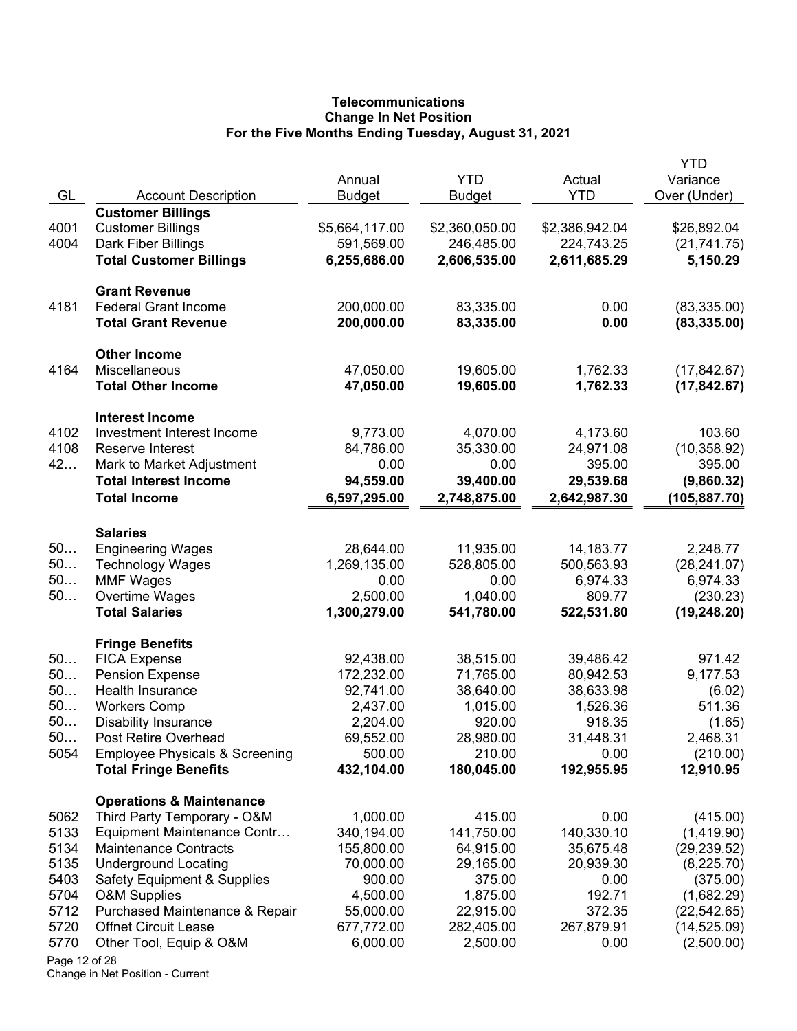# **Telecommunications Change In Net Position For the Five Months Ending Tuesday, August 31, 2021**

|               |                                                                           | Annual                    | <b>YTD</b>           | Actual                    | <b>YTD</b><br>Variance      |
|---------------|---------------------------------------------------------------------------|---------------------------|----------------------|---------------------------|-----------------------------|
| GL            | <b>Account Description</b>                                                | <b>Budget</b>             | <b>Budget</b>        | <b>YTD</b>                | Over (Under)                |
|               | <b>Customer Billings</b>                                                  |                           |                      |                           |                             |
| 4001          | <b>Customer Billings</b>                                                  | \$5,664,117.00            | \$2,360,050.00       | \$2,386,942.04            | \$26,892.04                 |
| 4004          | Dark Fiber Billings                                                       | 591,569.00                | 246,485.00           | 224,743.25                | (21, 741.75)                |
|               | <b>Total Customer Billings</b>                                            | 6,255,686.00              | 2,606,535.00         | 2,611,685.29              | 5,150.29                    |
|               | <b>Grant Revenue</b>                                                      |                           |                      |                           |                             |
| 4181          | <b>Federal Grant Income</b>                                               | 200,000.00                | 83,335.00            | 0.00                      | (83, 335.00)                |
|               | <b>Total Grant Revenue</b>                                                | 200,000.00                | 83,335.00            | 0.00                      | (83, 335.00)                |
|               | <b>Other Income</b>                                                       |                           |                      |                           |                             |
| 4164          | Miscellaneous                                                             | 47,050.00                 | 19,605.00            | 1,762.33                  | (17, 842.67)                |
|               | <b>Total Other Income</b>                                                 | 47,050.00                 | 19,605.00            | 1,762.33                  | (17, 842.67)                |
|               | <b>Interest Income</b>                                                    |                           |                      |                           |                             |
| 4102          | Investment Interest Income                                                | 9,773.00                  | 4,070.00             | 4,173.60                  | 103.60                      |
| 4108          | Reserve Interest                                                          | 84,786.00                 | 35,330.00            | 24,971.08                 | (10, 358.92)                |
| 42            | Mark to Market Adjustment<br><b>Total Interest Income</b>                 | 0.00                      | 0.00<br>39,400.00    | 395.00                    | 395.00                      |
|               | <b>Total Income</b>                                                       | 94,559.00<br>6,597,295.00 | 2,748,875.00         | 29,539.68<br>2,642,987.30 | (9,860.32)<br>(105, 887.70) |
|               |                                                                           |                           |                      |                           |                             |
|               | <b>Salaries</b>                                                           |                           |                      |                           |                             |
| 50            | <b>Engineering Wages</b>                                                  | 28,644.00                 | 11,935.00            | 14,183.77                 | 2,248.77                    |
| 50            | <b>Technology Wages</b>                                                   | 1,269,135.00              | 528,805.00           | 500,563.93                | (28, 241.07)                |
| 50            | <b>MMF Wages</b>                                                          | 0.00                      | 0.00                 | 6,974.33                  | 6,974.33                    |
| 50            | Overtime Wages                                                            | 2,500.00                  | 1,040.00             | 809.77                    | (230.23)                    |
|               | <b>Total Salaries</b>                                                     | 1,300,279.00              | 541,780.00           | 522,531.80                | (19, 248.20)                |
|               | <b>Fringe Benefits</b>                                                    |                           |                      |                           |                             |
| 50            | <b>FICA Expense</b>                                                       | 92,438.00                 | 38,515.00            | 39,486.42                 | 971.42                      |
| 50            | <b>Pension Expense</b>                                                    | 172,232.00                | 71,765.00            | 80,942.53                 | 9,177.53                    |
| 50            | Health Insurance                                                          | 92,741.00                 | 38,640.00            | 38,633.98                 | (6.02)                      |
| 50            | <b>Workers Comp</b>                                                       | 2,437.00                  | 1,015.00             | 1,526.36                  | 511.36                      |
| 50            | <b>Disability Insurance</b>                                               | 2,204.00                  | 920.00               | 918.35                    | (1.65)                      |
| 50            | Post Retire Overhead                                                      | 69,552.00                 | 28,980.00            | 31,448.31                 | 2,468.31                    |
| 5054          | <b>Employee Physicals &amp; Screening</b><br><b>Total Fringe Benefits</b> | 500.00<br>432,104.00      | 210.00<br>180,045.00 | 0.00<br>192,955.95        | (210.00)<br>12,910.95       |
|               | <b>Operations &amp; Maintenance</b>                                       |                           |                      |                           |                             |
| 5062          | Third Party Temporary - O&M                                               | 1,000.00                  | 415.00               | 0.00                      | (415.00)                    |
| 5133          | Equipment Maintenance Contr                                               | 340,194.00                | 141,750.00           | 140,330.10                | (1,419.90)                  |
| 5134          | <b>Maintenance Contracts</b>                                              | 155,800.00                | 64,915.00            | 35,675.48                 | (29, 239.52)                |
| 5135          | <b>Underground Locating</b>                                               | 70,000.00                 | 29,165.00            | 20,939.30                 | (8,225.70)                  |
| 5403          | Safety Equipment & Supplies                                               | 900.00                    | 375.00               | 0.00                      | (375.00)                    |
| 5704          | <b>O&amp;M Supplies</b>                                                   | 4,500.00                  | 1,875.00             | 192.71                    | (1,682.29)                  |
| 5712          | Purchased Maintenance & Repair                                            | 55,000.00                 | 22,915.00            | 372.35                    | (22, 542.65)                |
| 5720          | <b>Offnet Circuit Lease</b>                                               | 677,772.00                | 282,405.00           | 267,879.91                | (14, 525.09)                |
| 5770          | Other Tool, Equip & O&M                                                   | 6,000.00                  | 2,500.00             | 0.00                      | (2,500.00)                  |
| Page 12 of 28 |                                                                           |                           |                      |                           |                             |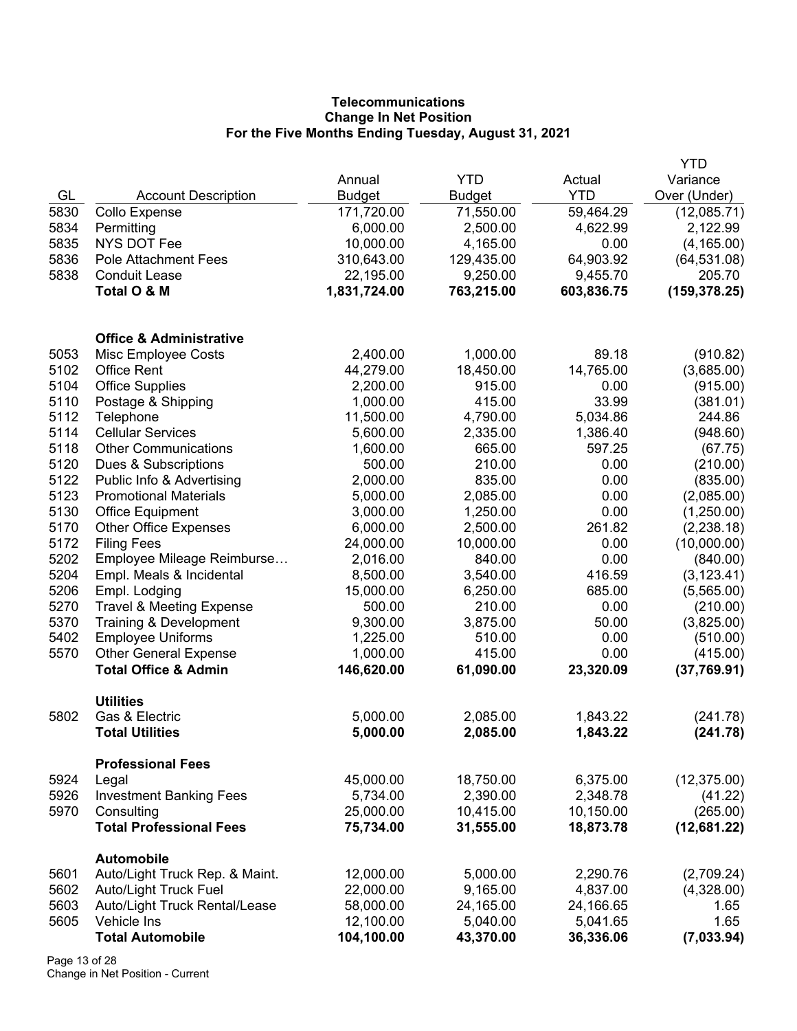# **Telecommunications Change In Net Position For the Five Months Ending Tuesday, August 31, 2021**

|      |                                                     |               |               |            | YTD           |
|------|-----------------------------------------------------|---------------|---------------|------------|---------------|
|      |                                                     | Annual        | <b>YTD</b>    | Actual     | Variance      |
| GL   | <b>Account Description</b>                          | <b>Budget</b> | <b>Budget</b> | <b>YTD</b> | Over (Under)  |
| 5830 | Collo Expense                                       | 171,720.00    | 71,550.00     | 59,464.29  | (12,085.71)   |
| 5834 | Permitting                                          | 6,000.00      | 2,500.00      | 4,622.99   | 2,122.99      |
| 5835 | <b>NYS DOT Fee</b>                                  | 10,000.00     | 4,165.00      | 0.00       | (4, 165.00)   |
| 5836 | Pole Attachment Fees                                | 310,643.00    | 129,435.00    | 64,903.92  | (64, 531.08)  |
| 5838 | <b>Conduit Lease</b>                                | 22,195.00     | 9,250.00      | 9,455.70   | 205.70        |
|      | Total O & M                                         | 1,831,724.00  | 763,215.00    | 603,836.75 | (159, 378.25) |
|      | <b>Office &amp; Administrative</b>                  |               |               |            |               |
| 5053 | Misc Employee Costs                                 | 2,400.00      | 1,000.00      | 89.18      | (910.82)      |
| 5102 | <b>Office Rent</b>                                  | 44,279.00     | 18,450.00     | 14,765.00  | (3,685.00)    |
| 5104 | <b>Office Supplies</b>                              | 2,200.00      | 915.00        | 0.00       | (915.00)      |
| 5110 | Postage & Shipping                                  | 1,000.00      | 415.00        | 33.99      | (381.01)      |
| 5112 | Telephone                                           | 11,500.00     | 4,790.00      | 5,034.86   | 244.86        |
| 5114 | <b>Cellular Services</b>                            | 5,600.00      | 2,335.00      | 1,386.40   | (948.60)      |
| 5118 | <b>Other Communications</b>                         | 1,600.00      | 665.00        | 597.25     | (67.75)       |
| 5120 | Dues & Subscriptions                                | 500.00        | 210.00        | 0.00       | (210.00)      |
| 5122 | Public Info & Advertising                           | 2,000.00      | 835.00        | 0.00       | (835.00)      |
| 5123 | <b>Promotional Materials</b>                        | 5,000.00      | 2,085.00      | 0.00       | (2,085.00)    |
| 5130 | Office Equipment                                    | 3,000.00      | 1,250.00      | 0.00       | (1,250.00)    |
| 5170 | <b>Other Office Expenses</b>                        | 6,000.00      | 2,500.00      | 261.82     | (2, 238.18)   |
| 5172 | <b>Filing Fees</b>                                  | 24,000.00     | 10,000.00     | 0.00       | (10,000.00)   |
| 5202 | Employee Mileage Reimburse                          | 2,016.00      | 840.00        | 0.00       | (840.00)      |
| 5204 | Empl. Meals & Incidental                            | 8,500.00      | 3,540.00      | 416.59     | (3, 123.41)   |
| 5206 | Empl. Lodging                                       | 15,000.00     | 6,250.00      | 685.00     | (5,565.00)    |
| 5270 | <b>Travel &amp; Meeting Expense</b>                 | 500.00        | 210.00        | 0.00       | (210.00)      |
| 5370 | Training & Development                              | 9,300.00      | 3,875.00      | 50.00      | (3,825.00)    |
| 5402 | <b>Employee Uniforms</b>                            | 1,225.00      | 510.00        | 0.00       | (510.00)      |
| 5570 | <b>Other General Expense</b>                        | 1,000.00      | 415.00        | 0.00       | (415.00)      |
|      | <b>Total Office &amp; Admin</b>                     | 146,620.00    | 61,090.00     | 23,320.09  | (37,769.91)   |
| 5802 | <b>Utilities</b><br>Gas & Electric                  | 5,000.00      | 2,085.00      | 1,843.22   | (241.78)      |
|      | <b>Total Utilities</b>                              | 5,000.00      | 2,085.00      | 1,843.22   | (241.78)      |
|      | <b>Professional Fees</b>                            |               |               |            |               |
| 5924 | Legal                                               | 45,000.00     | 18,750.00     | 6,375.00   | (12, 375.00)  |
| 5926 | <b>Investment Banking Fees</b>                      | 5,734.00      | 2,390.00      | 2,348.78   | (41.22)       |
| 5970 | Consulting                                          | 25,000.00     | 10,415.00     | 10,150.00  | (265.00)      |
|      | <b>Total Professional Fees</b>                      | 75,734.00     | 31,555.00     | 18,873.78  | (12,681.22)   |
| 5601 | <b>Automobile</b><br>Auto/Light Truck Rep. & Maint. | 12,000.00     | 5,000.00      | 2,290.76   | (2,709.24)    |
| 5602 | Auto/Light Truck Fuel                               | 22,000.00     | 9,165.00      | 4,837.00   | (4,328.00)    |
| 5603 | Auto/Light Truck Rental/Lease                       | 58,000.00     | 24,165.00     | 24,166.65  | 1.65          |
| 5605 | Vehicle Ins                                         | 12,100.00     | 5,040.00      | 5,041.65   | 1.65          |
|      | <b>Total Automobile</b>                             | 104,100.00    | 43,370.00     | 36,336.06  | (7,033.94)    |

Page 13 of 28 Change in Net Position - Current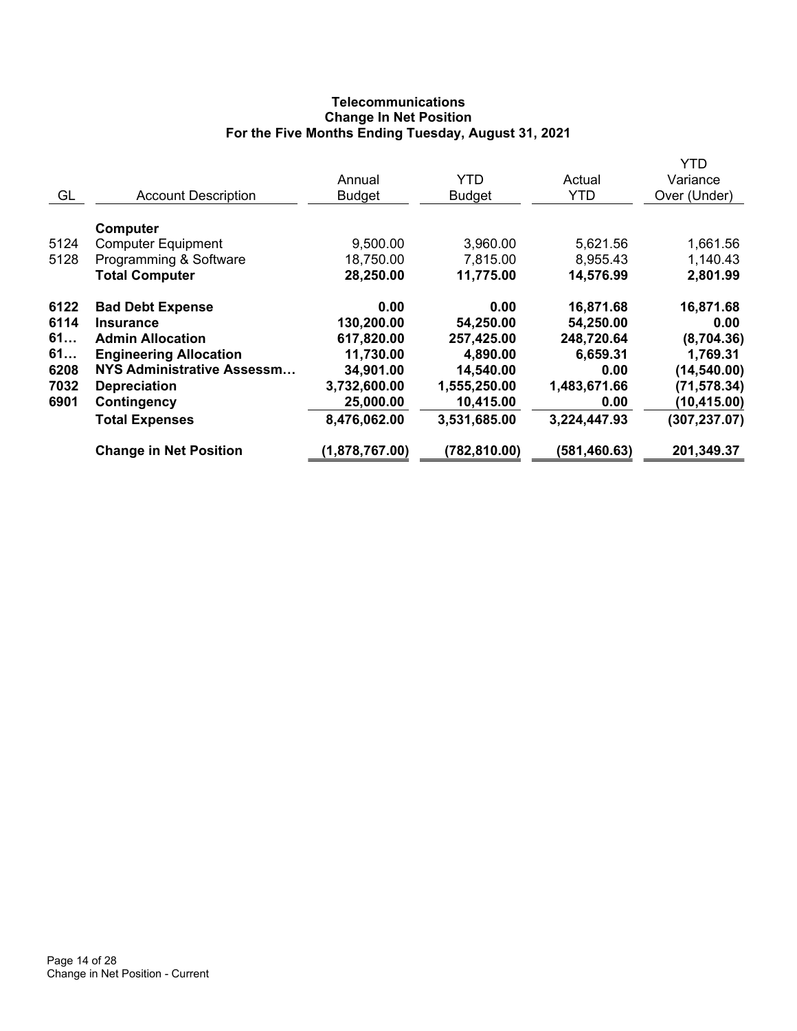# **Telecommunications Change In Net Position For the Five Months Ending Tuesday, August 31, 2021**

|      |                                   |                |               |              | YTD           |
|------|-----------------------------------|----------------|---------------|--------------|---------------|
|      |                                   | Annual         | <b>YTD</b>    | Actual       | Variance      |
| GL   | <b>Account Description</b>        | <b>Budget</b>  | <b>Budget</b> | <b>YTD</b>   | Over (Under)  |
|      |                                   |                |               |              |               |
|      | Computer                          |                |               |              |               |
| 5124 | <b>Computer Equipment</b>         | 9,500.00       | 3,960.00      | 5,621.56     | 1,661.56      |
| 5128 | Programming & Software            | 18,750.00      | 7,815.00      | 8,955.43     | 1,140.43      |
|      | <b>Total Computer</b>             | 28,250.00      | 11,775.00     | 14,576.99    | 2,801.99      |
| 6122 | <b>Bad Debt Expense</b>           | 0.00           | 0.00          | 16,871.68    | 16,871.68     |
| 6114 | <b>Insurance</b>                  | 130,200.00     | 54,250.00     | 54,250.00    | 0.00          |
| 61   | <b>Admin Allocation</b>           | 617,820.00     | 257,425.00    | 248,720.64   | (8,704.36)    |
| 61   | <b>Engineering Allocation</b>     | 11,730.00      | 4,890.00      | 6,659.31     | 1,769.31      |
| 6208 | <b>NYS Administrative Assessm</b> | 34,901.00      | 14,540.00     | 0.00         | (14, 540.00)  |
| 7032 | <b>Depreciation</b>               | 3,732,600.00   | 1,555,250.00  | 1,483,671.66 | (71, 578.34)  |
| 6901 | Contingency                       | 25,000.00      | 10,415.00     | 0.00         | (10, 415.00)  |
|      | <b>Total Expenses</b>             | 8,476,062.00   | 3,531,685.00  | 3,224,447.93 | (307, 237.07) |
|      | <b>Change in Net Position</b>     | (1,878,767.00) | (782, 810.00) | (581,460.63) | 201,349.37    |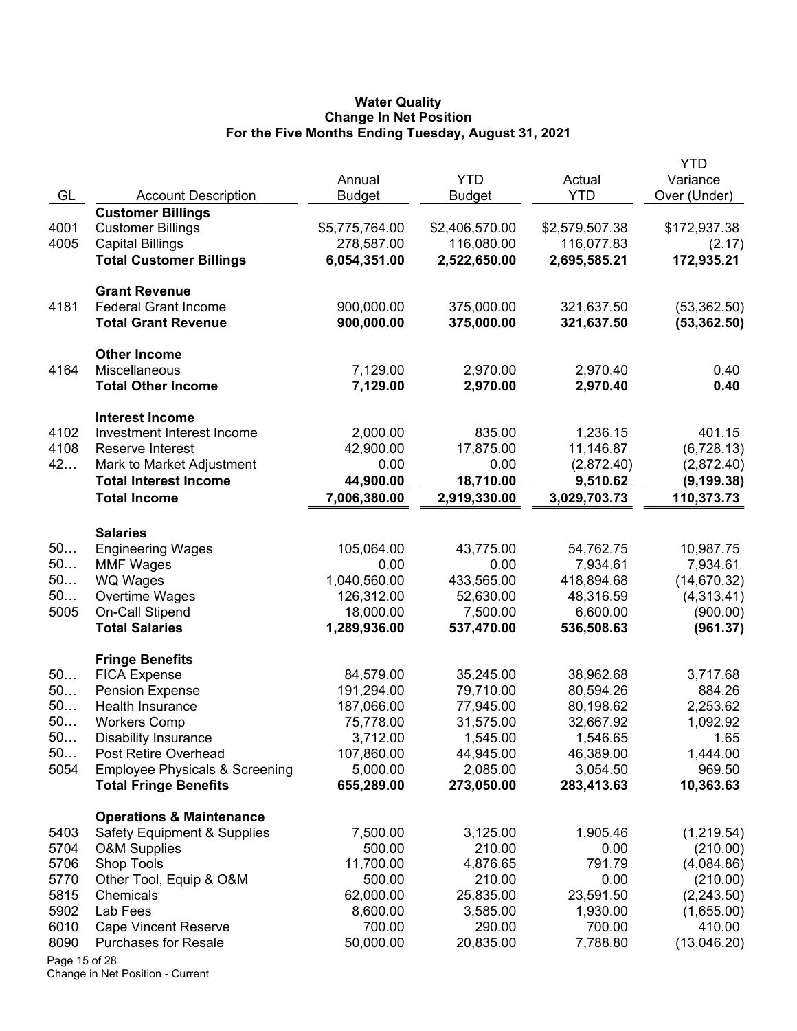#### **Water Quality Change In Net Position For the Five Months Ending Tuesday, August 31, 2021**

|               |                                           |                |                |                | <b>YTD</b>   |
|---------------|-------------------------------------------|----------------|----------------|----------------|--------------|
|               |                                           | Annual         | <b>YTD</b>     | Actual         | Variance     |
| GL            | <b>Account Description</b>                | <b>Budget</b>  | <b>Budget</b>  | <b>YTD</b>     | Over (Under) |
|               | <b>Customer Billings</b>                  |                |                |                |              |
| 4001          | <b>Customer Billings</b>                  | \$5,775,764.00 | \$2,406,570.00 | \$2,579,507.38 | \$172,937.38 |
| 4005          | <b>Capital Billings</b>                   | 278,587.00     | 116,080.00     | 116,077.83     | (2.17)       |
|               | <b>Total Customer Billings</b>            | 6,054,351.00   | 2,522,650.00   | 2,695,585.21   | 172,935.21   |
|               | <b>Grant Revenue</b>                      |                |                |                |              |
| 4181          | <b>Federal Grant Income</b>               | 900,000.00     | 375,000.00     | 321,637.50     | (53, 362.50) |
|               | <b>Total Grant Revenue</b>                | 900,000.00     | 375,000.00     | 321,637.50     | (53, 362.50) |
|               | <b>Other Income</b>                       |                |                |                |              |
| 4164          | Miscellaneous                             | 7,129.00       | 2,970.00       | 2,970.40       | 0.40         |
|               | <b>Total Other Income</b>                 | 7,129.00       | 2,970.00       | 2,970.40       | 0.40         |
|               | <b>Interest Income</b>                    |                |                |                |              |
| 4102          | Investment Interest Income                | 2,000.00       | 835.00         | 1,236.15       | 401.15       |
| 4108          | Reserve Interest                          | 42,900.00      | 17,875.00      | 11,146.87      | (6,728.13)   |
| 42            | Mark to Market Adjustment                 | 0.00           | 0.00           | (2,872.40)     | (2,872.40)   |
|               | <b>Total Interest Income</b>              | 44,900.00      | 18,710.00      | 9,510.62       | (9, 199.38)  |
|               | <b>Total Income</b>                       | 7,006,380.00   | 2,919,330.00   | 3,029,703.73   | 110,373.73   |
|               | <b>Salaries</b>                           |                |                |                |              |
| 50            | <b>Engineering Wages</b>                  | 105,064.00     | 43,775.00      | 54,762.75      | 10,987.75    |
| 50            | <b>MMF Wages</b>                          | 0.00           | 0.00           | 7,934.61       | 7,934.61     |
| 50            | <b>WQ Wages</b>                           | 1,040,560.00   | 433,565.00     | 418,894.68     | (14, 670.32) |
| 50            | Overtime Wages                            | 126,312.00     | 52,630.00      | 48,316.59      | (4,313.41)   |
| 5005          | On-Call Stipend                           | 18,000.00      | 7,500.00       | 6,600.00       | (900.00)     |
|               | <b>Total Salaries</b>                     | 1,289,936.00   | 537,470.00     | 536,508.63     | (961.37)     |
|               | <b>Fringe Benefits</b>                    |                |                |                |              |
| 50            | <b>FICA Expense</b>                       | 84,579.00      | 35,245.00      | 38,962.68      | 3,717.68     |
| 50            | <b>Pension Expense</b>                    | 191,294.00     | 79,710.00      | 80,594.26      | 884.26       |
| 50            | Health Insurance                          | 187,066.00     | 77,945.00      | 80,198.62      | 2,253.62     |
| 50            | <b>Workers Comp</b>                       | 75,778.00      | 31,575.00      | 32,667.92      | 1,092.92     |
| 50.           | <b>Disability Insurance</b>               | 3,712.00       | 1,545.00       | 1,546.65       | 1.65         |
| 50            | Post Retire Overhead                      | 107,860.00     | 44,945.00      | 46,389.00      | 1,444.00     |
| 5054          | <b>Employee Physicals &amp; Screening</b> | 5,000.00       | 2,085.00       | 3,054.50       | 969.50       |
|               | <b>Total Fringe Benefits</b>              | 655,289.00     | 273,050.00     | 283,413.63     | 10,363.63    |
|               | <b>Operations &amp; Maintenance</b>       |                |                |                |              |
| 5403          | <b>Safety Equipment &amp; Supplies</b>    | 7,500.00       | 3,125.00       | 1,905.46       | (1,219.54)   |
| 5704          | <b>O&amp;M Supplies</b>                   | 500.00         | 210.00         | 0.00           | (210.00)     |
| 5706          | <b>Shop Tools</b>                         | 11,700.00      | 4,876.65       | 791.79         | (4,084.86)   |
| 5770          | Other Tool, Equip & O&M                   | 500.00         | 210.00         | 0.00           | (210.00)     |
| 5815          | Chemicals                                 | 62,000.00      | 25,835.00      | 23,591.50      | (2,243.50)   |
| 5902          | Lab Fees                                  | 8,600.00       | 3,585.00       | 1,930.00       | (1,655.00)   |
| 6010          | <b>Cape Vincent Reserve</b>               | 700.00         | 290.00         | 700.00         | 410.00       |
| 8090          | <b>Purchases for Resale</b>               | 50,000.00      | 20,835.00      | 7,788.80       | (13,046.20)  |
| Page 15 of 28 |                                           |                |                |                |              |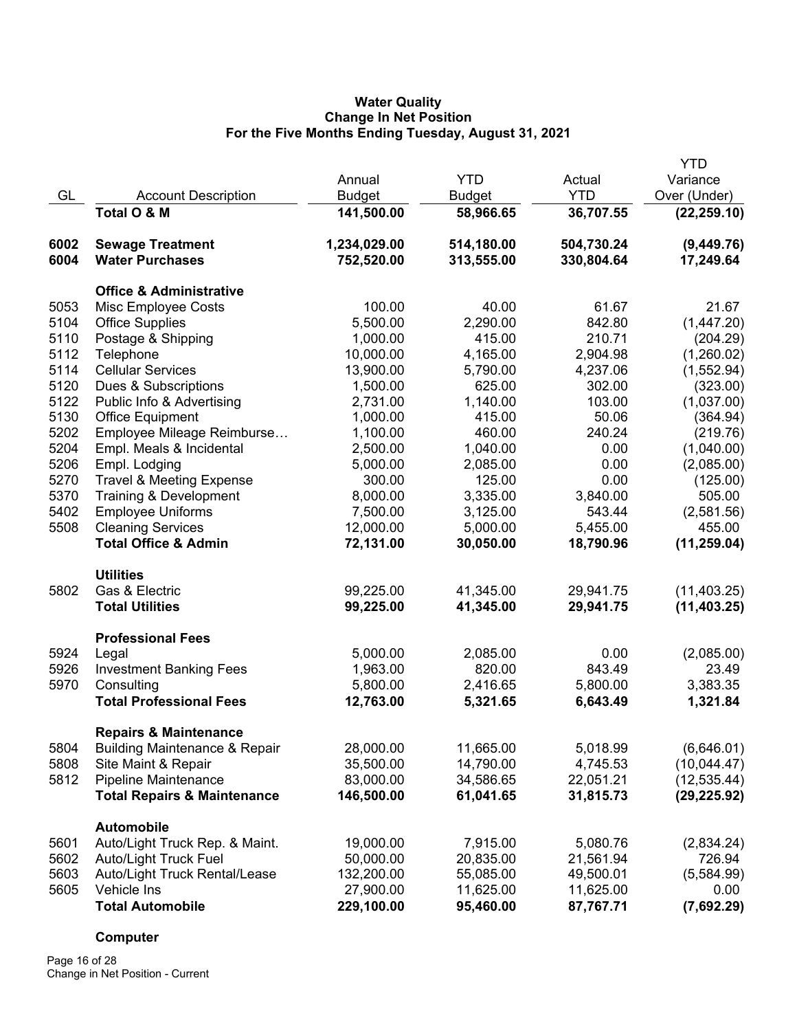## **Water Quality Change In Net Position For the Five Months Ending Tuesday, August 31, 2021**

|      |                                          |               |               |            | <b>YTD</b>   |
|------|------------------------------------------|---------------|---------------|------------|--------------|
|      |                                          | Annual        | <b>YTD</b>    | Actual     | Variance     |
| GL   | <b>Account Description</b>               | <b>Budget</b> | <b>Budget</b> | <b>YTD</b> | Over (Under) |
|      | Total O & M                              | 141,500.00    | 58,966.65     | 36,707.55  | (22, 259.10) |
| 6002 | <b>Sewage Treatment</b>                  | 1,234,029.00  | 514,180.00    | 504,730.24 | (9,449.76)   |
| 6004 | <b>Water Purchases</b>                   | 752,520.00    | 313,555.00    | 330,804.64 | 17,249.64    |
|      | <b>Office &amp; Administrative</b>       |               |               |            |              |
| 5053 | Misc Employee Costs                      | 100.00        | 40.00         | 61.67      | 21.67        |
| 5104 | <b>Office Supplies</b>                   | 5,500.00      | 2,290.00      | 842.80     | (1,447.20)   |
| 5110 | Postage & Shipping                       | 1,000.00      | 415.00        | 210.71     | (204.29)     |
| 5112 | Telephone                                | 10,000.00     | 4,165.00      | 2,904.98   | (1,260.02)   |
| 5114 | <b>Cellular Services</b>                 | 13,900.00     | 5,790.00      | 4,237.06   | (1,552.94)   |
| 5120 | Dues & Subscriptions                     | 1,500.00      | 625.00        | 302.00     | (323.00)     |
| 5122 | Public Info & Advertising                | 2,731.00      | 1,140.00      | 103.00     | (1,037.00)   |
| 5130 | <b>Office Equipment</b>                  | 1,000.00      | 415.00        | 50.06      | (364.94)     |
| 5202 | Employee Mileage Reimburse               | 1,100.00      | 460.00        | 240.24     | (219.76)     |
| 5204 | Empl. Meals & Incidental                 | 2,500.00      | 1,040.00      | 0.00       | (1,040.00)   |
| 5206 | Empl. Lodging                            | 5,000.00      | 2,085.00      | 0.00       | (2,085.00)   |
| 5270 | <b>Travel &amp; Meeting Expense</b>      | 300.00        | 125.00        | 0.00       | (125.00)     |
| 5370 | Training & Development                   | 8,000.00      | 3,335.00      | 3,840.00   | 505.00       |
| 5402 | <b>Employee Uniforms</b>                 | 7,500.00      | 3,125.00      | 543.44     | (2,581.56)   |
| 5508 | <b>Cleaning Services</b>                 | 12,000.00     | 5,000.00      | 5,455.00   | 455.00       |
|      | <b>Total Office &amp; Admin</b>          | 72,131.00     | 30,050.00     | 18,790.96  | (11, 259.04) |
|      | <b>Utilities</b>                         |               |               |            |              |
| 5802 | Gas & Electric                           | 99,225.00     | 41,345.00     | 29,941.75  | (11, 403.25) |
|      | <b>Total Utilities</b>                   | 99,225.00     | 41,345.00     | 29,941.75  | (11, 403.25) |
|      | <b>Professional Fees</b>                 |               |               |            |              |
| 5924 | Legal                                    | 5,000.00      | 2,085.00      | 0.00       | (2,085.00)   |
| 5926 | <b>Investment Banking Fees</b>           | 1,963.00      | 820.00        | 843.49     | 23.49        |
| 5970 | Consulting                               | 5,800.00      | 2,416.65      | 5,800.00   | 3,383.35     |
|      | <b>Total Professional Fees</b>           | 12,763.00     | 5,321.65      | 6,643.49   | 1,321.84     |
|      | <b>Repairs &amp; Maintenance</b>         |               |               |            |              |
| 5804 | <b>Building Maintenance &amp; Repair</b> | 28,000.00     | 11,665.00     | 5,018.99   | (6,646.01)   |
| 5808 | Site Maint & Repair                      | 35,500.00     | 14,790.00     | 4,745.53   | (10,044.47)  |
| 5812 | Pipeline Maintenance                     | 83,000.00     | 34,586.65     | 22,051.21  | (12, 535.44) |
|      | <b>Total Repairs &amp; Maintenance</b>   | 146,500.00    | 61,041.65     | 31,815.73  | (29, 225.92) |
|      | Automobile                               |               |               |            |              |
| 5601 | Auto/Light Truck Rep. & Maint.           | 19,000.00     | 7,915.00      | 5,080.76   | (2,834.24)   |
| 5602 | <b>Auto/Light Truck Fuel</b>             | 50,000.00     | 20,835.00     | 21,561.94  | 726.94       |
| 5603 | Auto/Light Truck Rental/Lease            | 132,200.00    | 55,085.00     | 49,500.01  | (5,584.99)   |
| 5605 | Vehicle Ins                              | 27,900.00     | 11,625.00     | 11,625.00  | 0.00         |
|      | <b>Total Automobile</b>                  | 229,100.00    | 95,460.00     | 87,767.71  | (7,692.29)   |

# **Computer**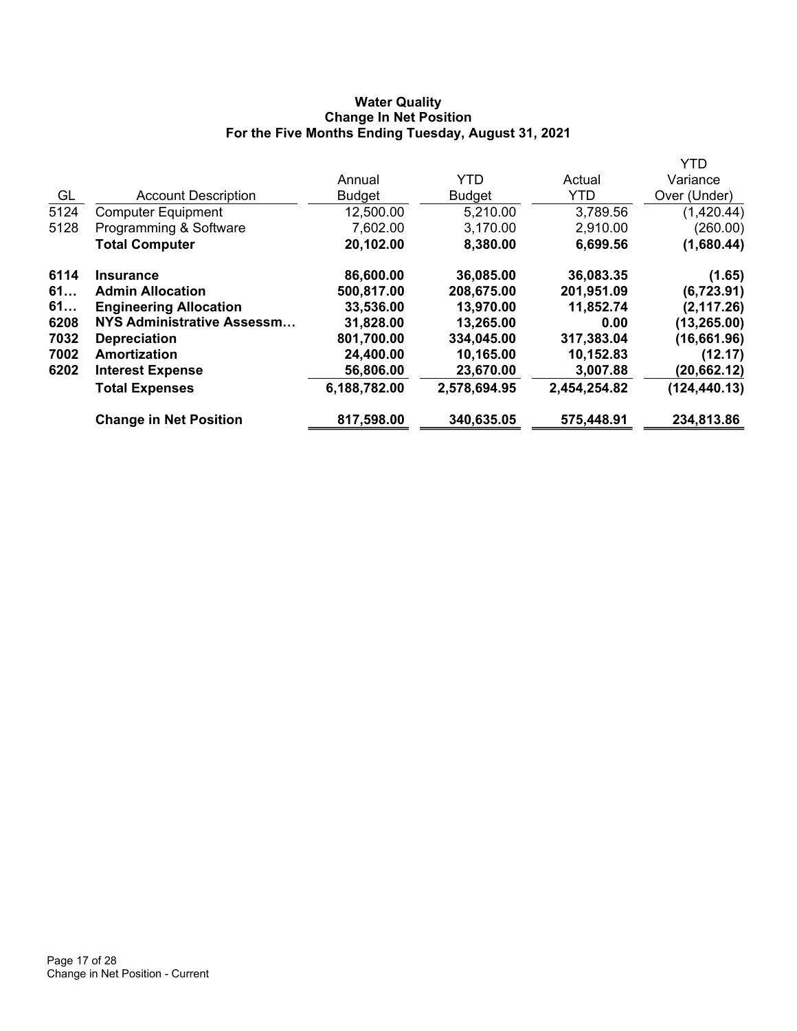# **Water Quality Change In Net Position For the Five Months Ending Tuesday, August 31, 2021**

|      |                               |               |               |              | YTD           |
|------|-------------------------------|---------------|---------------|--------------|---------------|
|      |                               | Annual        | <b>YTD</b>    | Actual       | Variance      |
| GL   | <b>Account Description</b>    | <b>Budget</b> | <b>Budget</b> | <b>YTD</b>   | Over (Under)  |
| 5124 | <b>Computer Equipment</b>     | 12,500.00     | 5,210.00      | 3,789.56     | (1,420.44)    |
| 5128 | Programming & Software        | 7,602.00      | 3,170.00      | 2,910.00     | (260.00)      |
|      | <b>Total Computer</b>         | 20,102.00     | 8,380.00      | 6,699.56     | (1,680.44)    |
| 6114 | <b>Insurance</b>              | 86,600.00     | 36,085.00     | 36,083.35    | (1.65)        |
| 61   | <b>Admin Allocation</b>       | 500,817.00    | 208,675.00    | 201,951.09   | (6, 723.91)   |
| 61   | <b>Engineering Allocation</b> | 33,536.00     | 13,970.00     | 11,852.74    | (2, 117.26)   |
| 6208 | NYS Administrative Assessm    | 31,828.00     | 13,265.00     | 0.00         | (13, 265.00)  |
| 7032 | <b>Depreciation</b>           | 801,700.00    | 334,045.00    | 317,383.04   | (16,661.96)   |
| 7002 | Amortization                  | 24,400.00     | 10,165.00     | 10,152.83    | (12.17)       |
| 6202 | <b>Interest Expense</b>       | 56,806.00     | 23,670.00     | 3,007.88     | (20, 662.12)  |
|      | <b>Total Expenses</b>         | 6,188,782.00  | 2,578,694.95  | 2,454,254.82 | (124, 440.13) |
|      | <b>Change in Net Position</b> | 817,598.00    | 340,635.05    | 575,448.91   | 234,813.86    |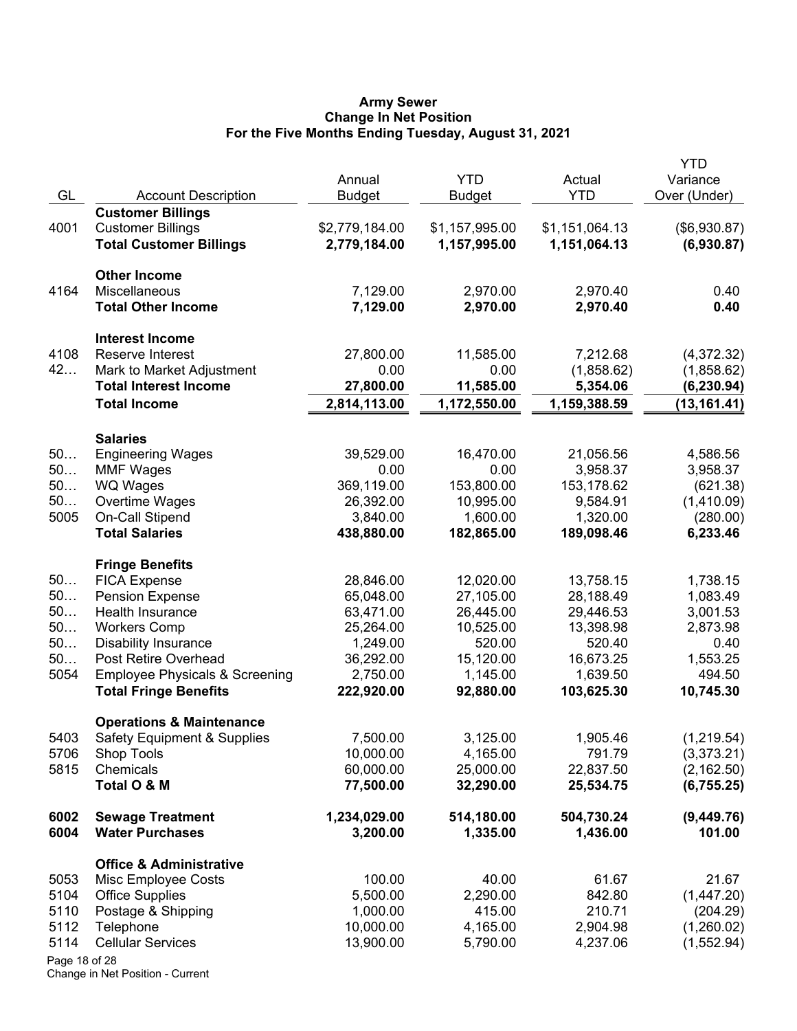#### **Army Sewer Change In Net Position For the Five Months Ending Tuesday, August 31, 2021**

| GL            | <b>Account Description</b>                    | Annual<br><b>Budget</b> | <b>YTD</b><br><b>Budget</b> | Actual<br><b>YTD</b>   | <b>YTD</b><br>Variance<br>Over (Under) |
|---------------|-----------------------------------------------|-------------------------|-----------------------------|------------------------|----------------------------------------|
|               | <b>Customer Billings</b>                      |                         |                             |                        |                                        |
| 4001          | <b>Customer Billings</b>                      | \$2,779,184.00          | \$1,157,995.00              | \$1,151,064.13         | (\$6,930.87)                           |
|               | <b>Total Customer Billings</b>                | 2,779,184.00            | 1,157,995.00                | 1,151,064.13           | (6,930.87)                             |
|               | <b>Other Income</b>                           |                         |                             |                        |                                        |
| 4164          | Miscellaneous                                 | 7,129.00                | 2,970.00                    | 2,970.40               | 0.40                                   |
|               | <b>Total Other Income</b>                     | 7,129.00                | 2,970.00                    | 2,970.40               | 0.40                                   |
|               | <b>Interest Income</b>                        |                         |                             |                        |                                        |
| 4108          | Reserve Interest                              | 27,800.00               | 11,585.00                   | 7,212.68               | (4,372.32)                             |
| 42            | Mark to Market Adjustment                     | 0.00                    | 0.00                        | (1,858.62)             | (1,858.62)                             |
|               | <b>Total Interest Income</b>                  | 27,800.00               | 11,585.00                   | 5,354.06               | (6, 230.94)                            |
|               | <b>Total Income</b>                           | 2,814,113.00            | 1,172,550.00                | 1,159,388.59           | (13, 161.41)                           |
|               | <b>Salaries</b>                               |                         |                             |                        |                                        |
| 50            | <b>Engineering Wages</b>                      | 39,529.00               | 16,470.00                   | 21,056.56              | 4,586.56                               |
| 50            | <b>MMF Wages</b>                              | 0.00                    | 0.00                        | 3,958.37               | 3,958.37                               |
| 50            | <b>WQ Wages</b>                               | 369,119.00              | 153,800.00                  | 153,178.62             | (621.38)                               |
| 50            | Overtime Wages                                | 26,392.00               | 10,995.00                   | 9,584.91               | (1,410.09)                             |
| 5005          | On-Call Stipend                               | 3,840.00                | 1,600.00                    | 1,320.00               | (280.00)                               |
|               | <b>Total Salaries</b>                         | 438,880.00              | 182,865.00                  | 189,098.46             | 6,233.46                               |
| 50            | <b>Fringe Benefits</b>                        | 28,846.00               |                             |                        |                                        |
| 50            | <b>FICA Expense</b><br><b>Pension Expense</b> | 65,048.00               | 12,020.00<br>27,105.00      | 13,758.15<br>28,188.49 | 1,738.15<br>1,083.49                   |
| 50            | Health Insurance                              | 63,471.00               | 26,445.00                   | 29,446.53              | 3,001.53                               |
| 50            | <b>Workers Comp</b>                           | 25,264.00               | 10,525.00                   | 13,398.98              | 2,873.98                               |
| 50            | <b>Disability Insurance</b>                   | 1,249.00                | 520.00                      | 520.40                 | 0.40                                   |
| 50            | Post Retire Overhead                          | 36,292.00               | 15,120.00                   | 16,673.25              | 1,553.25                               |
| 5054          | <b>Employee Physicals &amp; Screening</b>     | 2,750.00                | 1,145.00                    | 1,639.50               | 494.50                                 |
|               | <b>Total Fringe Benefits</b>                  | 222,920.00              | 92,880.00                   | 103,625.30             | 10,745.30                              |
|               | <b>Operations &amp; Maintenance</b>           |                         |                             |                        |                                        |
| 5403          | <b>Safety Equipment &amp; Supplies</b>        | 7,500.00                | 3,125.00                    | 1,905.46               | (1,219.54)                             |
| 5706          | Shop Tools                                    | 10,000.00               | 4,165.00                    | 791.79                 | (3,373.21)                             |
| 5815          | Chemicals                                     | 60,000.00               | 25,000.00                   | 22,837.50              | (2, 162.50)                            |
|               | Total O & M                                   | 77,500.00               | 32,290.00                   | 25,534.75              | (6,755.25)                             |
| 6002          | <b>Sewage Treatment</b>                       | 1,234,029.00            | 514,180.00                  | 504,730.24             | (9,449.76)                             |
| 6004          | <b>Water Purchases</b>                        | 3,200.00                | 1,335.00                    | 1,436.00               | 101.00                                 |
|               | <b>Office &amp; Administrative</b>            |                         |                             |                        |                                        |
| 5053          | Misc Employee Costs                           | 100.00                  | 40.00                       | 61.67                  | 21.67                                  |
| 5104          | <b>Office Supplies</b>                        | 5,500.00                | 2,290.00                    | 842.80                 | (1,447.20)                             |
| 5110          | Postage & Shipping                            | 1,000.00                | 415.00                      | 210.71                 | (204.29)                               |
| 5112          | Telephone                                     | 10,000.00               | 4,165.00                    | 2,904.98               | (1,260.02)                             |
| 5114          | <b>Cellular Services</b>                      | 13,900.00               | 5,790.00                    | 4,237.06               | (1, 552.94)                            |
| Page 18 of 28 |                                               |                         |                             |                        |                                        |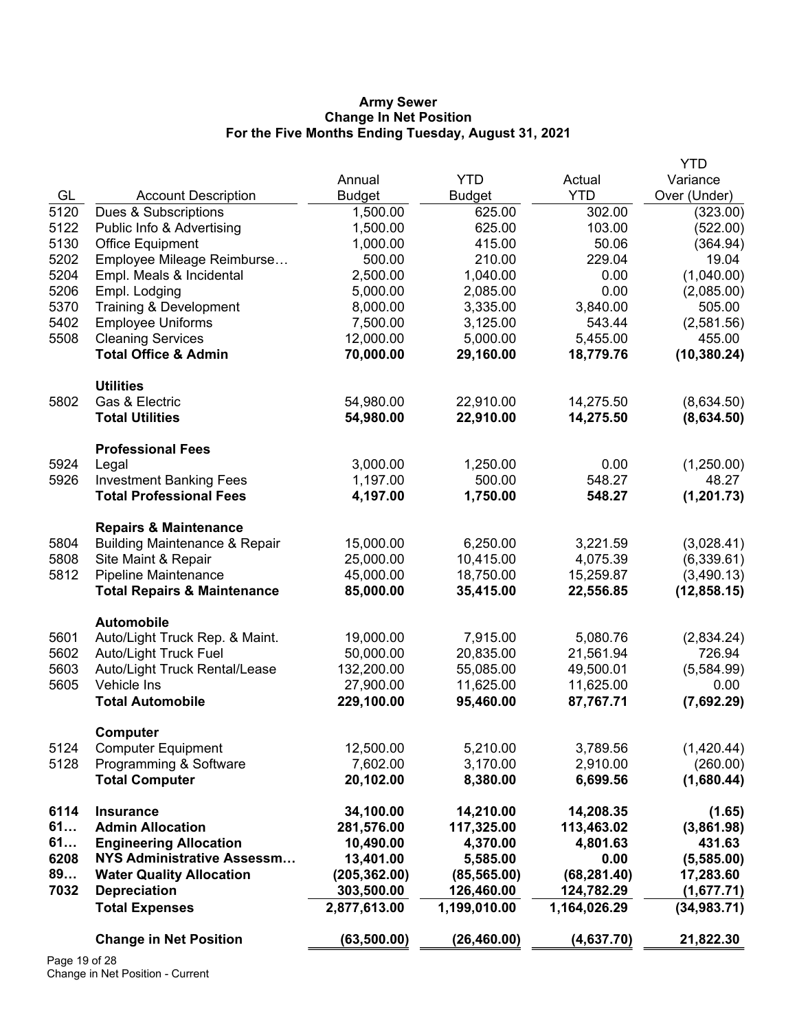#### **Army Sewer Change In Net Position For the Five Months Ending Tuesday, August 31, 2021**

|      |                                                 |                       |                      |                      | <b>YTD</b>             |
|------|-------------------------------------------------|-----------------------|----------------------|----------------------|------------------------|
|      |                                                 | Annual                | <b>YTD</b>           | Actual               | Variance               |
| GL   | <b>Account Description</b>                      | <b>Budget</b>         | <b>Budget</b>        | <b>YTD</b>           | Over (Under)           |
| 5120 | Dues & Subscriptions                            | 1,500.00              | 625.00               | 302.00               | (323.00)               |
| 5122 | Public Info & Advertising                       | 1,500.00              | 625.00               | 103.00               | (522.00)               |
| 5130 | <b>Office Equipment</b>                         | 1,000.00              | 415.00               | 50.06                | (364.94)               |
| 5202 | Employee Mileage Reimburse                      | 500.00                | 210.00               | 229.04               | 19.04                  |
| 5204 | Empl. Meals & Incidental                        | 2,500.00              | 1,040.00             | 0.00                 | (1,040.00)             |
| 5206 | Empl. Lodging                                   | 5,000.00              | 2,085.00             | 0.00                 | (2,085.00)             |
| 5370 | <b>Training &amp; Development</b>               | 8,000.00              | 3,335.00             | 3,840.00             | 505.00                 |
| 5402 | <b>Employee Uniforms</b>                        | 7,500.00              | 3,125.00             | 543.44               | (2,581.56)             |
| 5508 | <b>Cleaning Services</b>                        | 12,000.00             | 5,000.00             | 5,455.00             | 455.00                 |
|      | <b>Total Office &amp; Admin</b>                 | 70,000.00             | 29,160.00            | 18,779.76            | (10, 380.24)           |
|      | <b>Utilities</b>                                |                       |                      |                      |                        |
| 5802 | Gas & Electric                                  | 54,980.00             | 22,910.00            | 14,275.50            | (8,634.50)             |
|      | <b>Total Utilities</b>                          | 54,980.00             | 22,910.00            | 14,275.50            | (8,634.50)             |
|      | <b>Professional Fees</b>                        |                       |                      |                      |                        |
| 5924 | Legal                                           | 3,000.00              | 1,250.00             | 0.00                 | (1,250.00)             |
| 5926 | <b>Investment Banking Fees</b>                  | 1,197.00              | 500.00               | 548.27               | 48.27                  |
|      | <b>Total Professional Fees</b>                  | 4,197.00              | 1,750.00             | 548.27               | (1, 201.73)            |
|      | <b>Repairs &amp; Maintenance</b>                |                       |                      |                      |                        |
| 5804 | <b>Building Maintenance &amp; Repair</b>        | 15,000.00             | 6,250.00             | 3,221.59             | (3,028.41)             |
| 5808 | Site Maint & Repair                             | 25,000.00             | 10,415.00            | 4,075.39             | (6,339.61)             |
| 5812 | Pipeline Maintenance                            | 45,000.00             | 18,750.00            | 15,259.87            | (3,490.13)             |
|      | <b>Total Repairs &amp; Maintenance</b>          | 85,000.00             | 35,415.00            | 22,556.85            | (12, 858.15)           |
|      | <b>Automobile</b>                               |                       |                      |                      |                        |
| 5601 | Auto/Light Truck Rep. & Maint.                  | 19,000.00             | 7,915.00             | 5,080.76             | (2,834.24)             |
| 5602 | <b>Auto/Light Truck Fuel</b>                    | 50,000.00             | 20,835.00            | 21,561.94            | 726.94                 |
| 5603 | Auto/Light Truck Rental/Lease                   | 132,200.00            | 55,085.00            | 49,500.01            | (5,584.99)             |
| 5605 | <b>Vehicle Ins</b>                              | 27,900.00             | 11,625.00            | 11,625.00            | 0.00                   |
|      | <b>Total Automobile</b>                         | 229,100.00            | 95,460.00            | 87,767.71            | (7,692.29)             |
|      | Computer                                        |                       |                      |                      |                        |
| 5124 | <b>Computer Equipment</b>                       | 12,500.00             | 5,210.00             | 3,789.56             | (1,420.44)             |
| 5128 | Programming & Software<br><b>Total Computer</b> | 7,602.00<br>20,102.00 | 3,170.00<br>8,380.00 | 2,910.00<br>6,699.56 | (260.00)<br>(1,680.44) |
| 6114 | <b>Insurance</b>                                | 34,100.00             | 14,210.00            | 14,208.35            | (1.65)                 |
| 61   | <b>Admin Allocation</b>                         | 281,576.00            | 117,325.00           | 113,463.02           | (3,861.98)             |
| 61   | <b>Engineering Allocation</b>                   | 10,490.00             | 4,370.00             | 4,801.63             | 431.63                 |
| 6208 | <b>NYS Administrative Assessm</b>               | 13,401.00             | 5,585.00             | 0.00                 | (5,585.00)             |
| 89   | <b>Water Quality Allocation</b>                 | (205, 362.00)         | (85, 565.00)         | (68, 281.40)         | 17,283.60              |
| 7032 | <b>Depreciation</b>                             | 303,500.00            | 126,460.00           | 124,782.29           | (1,677.71)             |
|      | <b>Total Expenses</b>                           | 2,877,613.00          | 1,199,010.00         | 1,164,026.29         | (34, 983.71)           |
|      | <b>Change in Net Position</b>                   | (63, 500.00)          | (26, 460.00)         | (4,637.70)           | 21,822.30              |
|      |                                                 |                       |                      |                      |                        |

Page 19 of 28 Change in Net Position - Current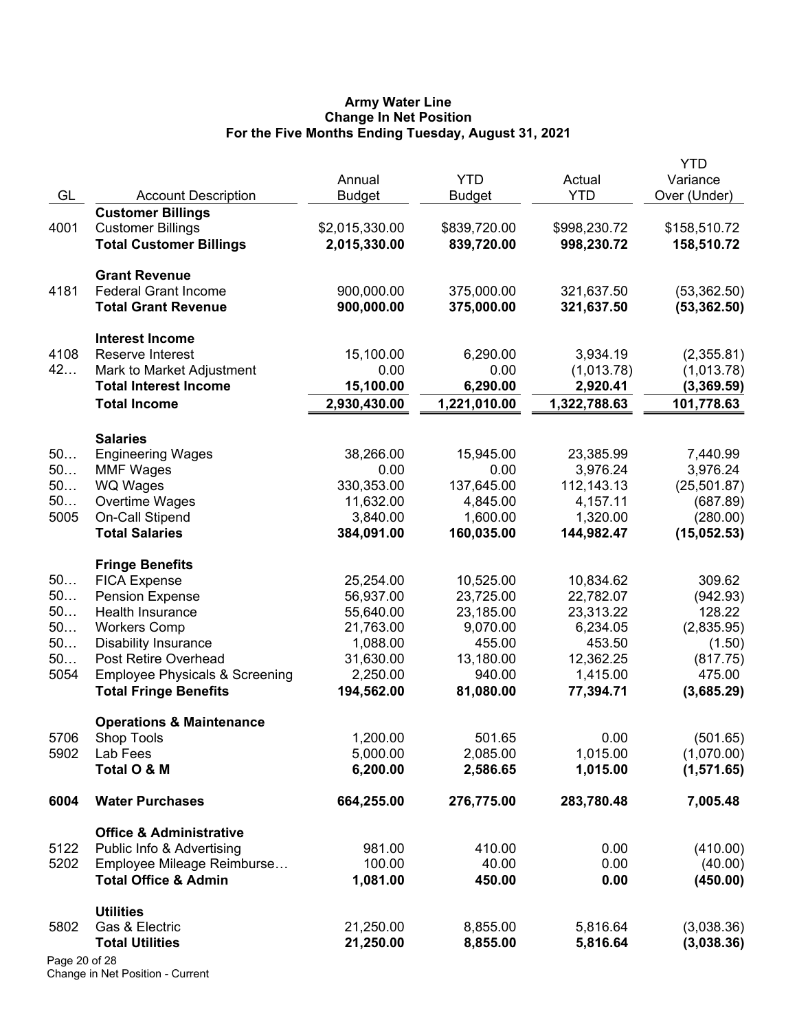#### **Army Water Line Change In Net Position For the Five Months Ending Tuesday, August 31, 2021**

|               |                                           | Annual         | <b>YTD</b>    | Actual       | <b>YTD</b><br>Variance |
|---------------|-------------------------------------------|----------------|---------------|--------------|------------------------|
| GL            | <b>Account Description</b>                | <b>Budget</b>  | <b>Budget</b> | <b>YTD</b>   | Over (Under)           |
|               | <b>Customer Billings</b>                  |                |               |              |                        |
| 4001          | <b>Customer Billings</b>                  | \$2,015,330.00 | \$839,720.00  | \$998,230.72 | \$158,510.72           |
|               | <b>Total Customer Billings</b>            | 2,015,330.00   | 839,720.00    | 998,230.72   | 158,510.72             |
|               | <b>Grant Revenue</b>                      |                |               |              |                        |
| 4181          | <b>Federal Grant Income</b>               | 900,000.00     | 375,000.00    | 321,637.50   | (53, 362.50)           |
|               | <b>Total Grant Revenue</b>                | 900,000.00     | 375,000.00    | 321,637.50   | (53, 362.50)           |
|               | <b>Interest Income</b>                    |                |               |              |                        |
| 4108          | Reserve Interest                          | 15,100.00      | 6,290.00      | 3,934.19     | (2,355.81)             |
| 42            | Mark to Market Adjustment                 | 0.00           | 0.00          | (1,013.78)   | (1,013.78)             |
|               | <b>Total Interest Income</b>              | 15,100.00      | 6,290.00      | 2,920.41     | (3,369.59)             |
|               | <b>Total Income</b>                       | 2,930,430.00   | 1,221,010.00  | 1,322,788.63 | 101,778.63             |
|               | <b>Salaries</b>                           |                |               |              |                        |
| 50            | <b>Engineering Wages</b>                  | 38,266.00      | 15,945.00     | 23,385.99    | 7,440.99               |
| 50            | <b>MMF Wages</b>                          | 0.00           | 0.00          | 3,976.24     | 3,976.24               |
| 50            | <b>WQ Wages</b>                           | 330,353.00     | 137,645.00    | 112,143.13   | (25, 501.87)           |
| 50            | Overtime Wages                            | 11,632.00      | 4,845.00      | 4,157.11     | (687.89)               |
| 5005          | <b>On-Call Stipend</b>                    | 3,840.00       | 1,600.00      | 1,320.00     | (280.00)               |
|               | <b>Total Salaries</b>                     | 384,091.00     | 160,035.00    | 144,982.47   | (15,052.53)            |
|               | <b>Fringe Benefits</b>                    |                |               |              |                        |
| 50            | <b>FICA Expense</b>                       | 25,254.00      | 10,525.00     | 10,834.62    | 309.62                 |
| 50            | <b>Pension Expense</b>                    | 56,937.00      | 23,725.00     | 22,782.07    | (942.93)               |
| 50            | Health Insurance                          | 55,640.00      | 23,185.00     | 23,313.22    | 128.22                 |
| 50            | <b>Workers Comp</b>                       | 21,763.00      | 9,070.00      | 6,234.05     | (2,835.95)             |
| 50            | <b>Disability Insurance</b>               | 1,088.00       | 455.00        | 453.50       | (1.50)                 |
| 50            | Post Retire Overhead                      | 31,630.00      | 13,180.00     | 12,362.25    | (817.75)               |
| 5054          | <b>Employee Physicals &amp; Screening</b> | 2,250.00       | 940.00        | 1,415.00     | 475.00                 |
|               | <b>Total Fringe Benefits</b>              | 194,562.00     | 81,080.00     | 77,394.71    | (3,685.29)             |
|               | <b>Operations &amp; Maintenance</b>       |                |               |              |                        |
| 5706          | Shop Tools                                | 1,200.00       | 501.65        | 0.00         | (501.65)               |
| 5902          | Lab Fees                                  | 5,000.00       | 2,085.00      | 1,015.00     | (1,070.00)             |
|               | Total O & M                               | 6,200.00       | 2,586.65      | 1,015.00     | (1,571.65)             |
| 6004          | <b>Water Purchases</b>                    | 664,255.00     | 276,775.00    | 283,780.48   | 7,005.48               |
|               | <b>Office &amp; Administrative</b>        |                |               |              |                        |
| 5122          | Public Info & Advertising                 | 981.00         | 410.00        | 0.00         | (410.00)               |
| 5202          | Employee Mileage Reimburse                | 100.00         | 40.00         | 0.00         | (40.00)                |
|               | <b>Total Office &amp; Admin</b>           | 1,081.00       | 450.00        | 0.00         | (450.00)               |
|               | <b>Utilities</b>                          |                |               |              |                        |
| 5802          | Gas & Electric                            | 21,250.00      | 8,855.00      | 5,816.64     | (3,038.36)             |
|               | <b>Total Utilities</b>                    | 21,250.00      | 8,855.00      | 5,816.64     | (3,038.36)             |
| Page 20 of 28 |                                           |                |               |              |                        |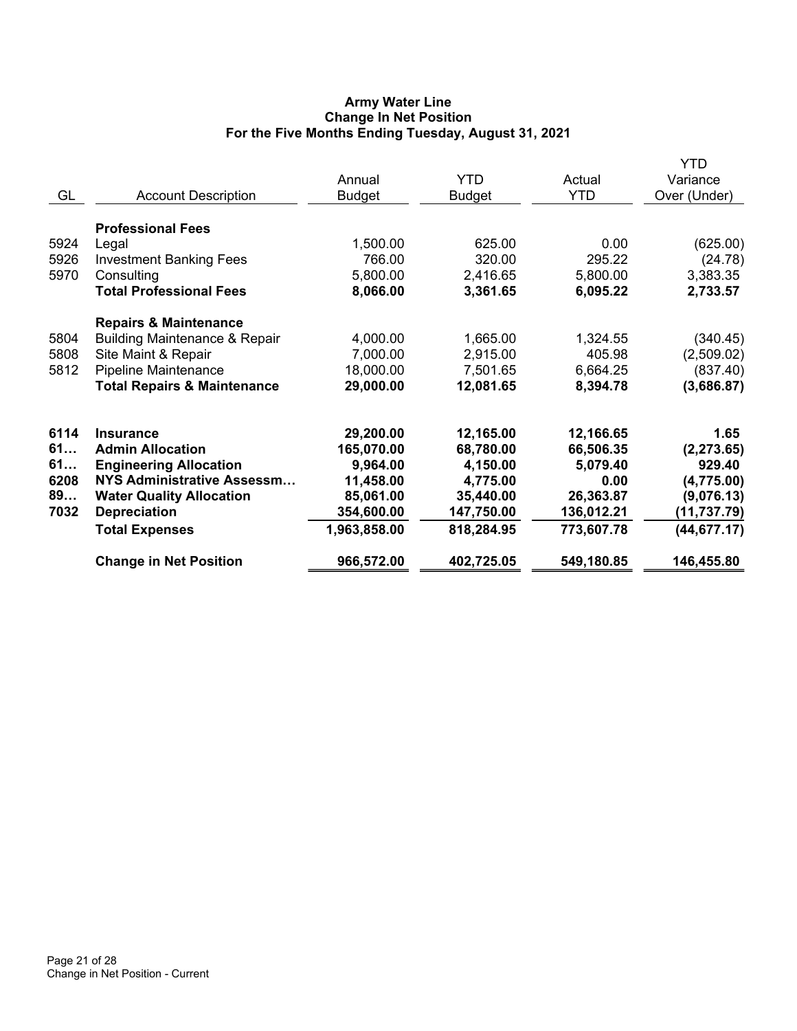# **Army Water Line Change In Net Position For the Five Months Ending Tuesday, August 31, 2021**

|      |                                          | Annual        | <b>YTD</b>    | Actual<br><b>YTD</b> | <b>YTD</b><br>Variance |
|------|------------------------------------------|---------------|---------------|----------------------|------------------------|
| GL   | <b>Account Description</b>               | <b>Budget</b> | <b>Budget</b> |                      | Over (Under)           |
|      | <b>Professional Fees</b>                 |               |               |                      |                        |
| 5924 | Legal                                    | 1,500.00      | 625.00        | 0.00                 | (625.00)               |
| 5926 | <b>Investment Banking Fees</b>           | 766.00        | 320.00        | 295.22               | (24.78)                |
| 5970 | Consulting                               | 5,800.00      | 2,416.65      | 5,800.00             | 3,383.35               |
|      | <b>Total Professional Fees</b>           | 8,066.00      | 3,361.65      | 6,095.22             | 2,733.57               |
|      | <b>Repairs &amp; Maintenance</b>         |               |               |                      |                        |
| 5804 | <b>Building Maintenance &amp; Repair</b> | 4,000.00      | 1,665.00      | 1,324.55             | (340.45)               |
| 5808 | Site Maint & Repair                      | 7,000.00      | 2,915.00      | 405.98               | (2,509.02)             |
| 5812 | <b>Pipeline Maintenance</b>              | 18,000.00     | 7,501.65      | 6,664.25             | (837.40)               |
|      | <b>Total Repairs &amp; Maintenance</b>   | 29,000.00     | 12,081.65     | 8,394.78             | (3,686.87)             |
| 6114 | <b>Insurance</b>                         | 29,200.00     | 12,165.00     | 12,166.65            | 1.65                   |
| 61   | <b>Admin Allocation</b>                  | 165,070.00    | 68,780.00     | 66,506.35            | (2, 273.65)            |
| 61   | <b>Engineering Allocation</b>            | 9,964.00      | 4,150.00      | 5,079.40             | 929.40                 |
| 6208 | NYS Administrative Assessm               | 11,458.00     | 4,775.00      | 0.00                 | (4,775.00)             |
| 89   | <b>Water Quality Allocation</b>          | 85,061.00     | 35,440.00     | 26,363.87            | (9,076.13)             |
| 7032 | <b>Depreciation</b>                      | 354,600.00    | 147,750.00    | 136,012.21           | (11, 737.79)           |
|      | <b>Total Expenses</b>                    | 1,963,858.00  | 818,284.95    | 773,607.78           | (44, 677.17)           |
|      | <b>Change in Net Position</b>            | 966,572.00    | 402,725.05    | 549,180.85           | 146,455.80             |
|      |                                          |               |               |                      |                        |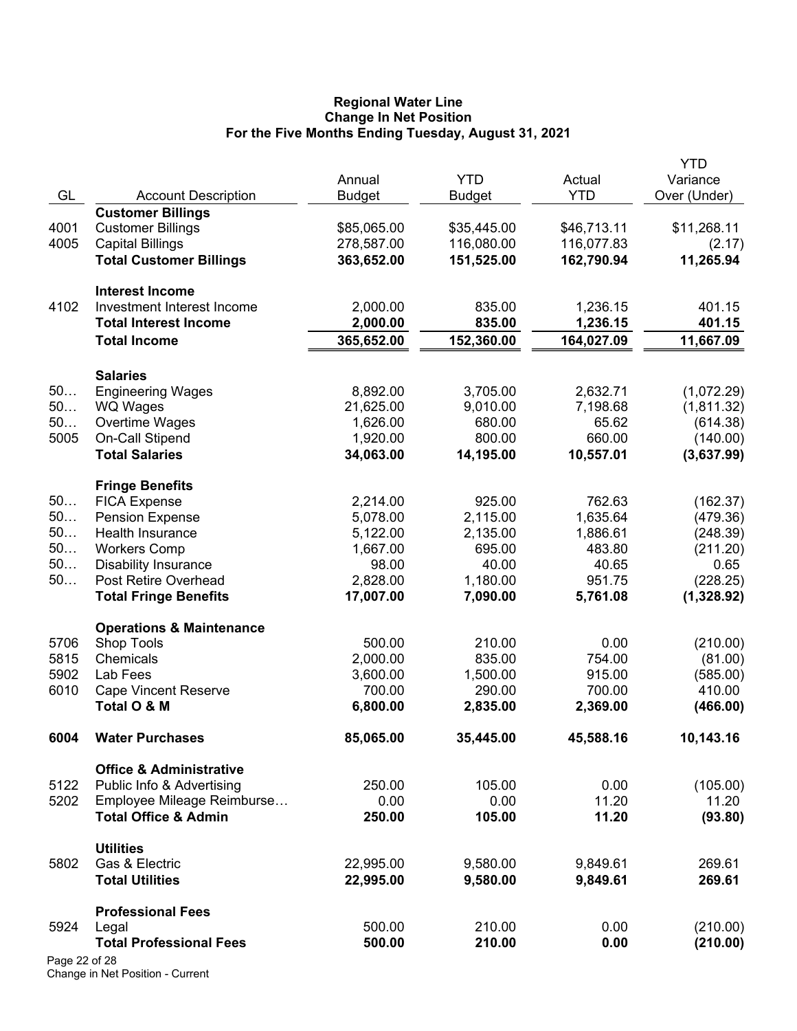#### **Regional Water Line Change In Net Position For the Five Months Ending Tuesday, August 31, 2021**

|               |                                         |               |               |             | <b>YTD</b>   |
|---------------|-----------------------------------------|---------------|---------------|-------------|--------------|
|               |                                         | Annual        | <b>YTD</b>    | Actual      | Variance     |
| GL            | <b>Account Description</b>              | <b>Budget</b> | <b>Budget</b> | <b>YTD</b>  | Over (Under) |
|               | <b>Customer Billings</b>                |               |               |             |              |
| 4001          | <b>Customer Billings</b>                | \$85,065.00   | \$35,445.00   | \$46,713.11 | \$11,268.11  |
| 4005          | <b>Capital Billings</b>                 | 278,587.00    | 116,080.00    | 116,077.83  | (2.17)       |
|               | <b>Total Customer Billings</b>          | 363,652.00    | 151,525.00    | 162,790.94  | 11,265.94    |
|               | <b>Interest Income</b>                  |               |               |             |              |
| 4102          | Investment Interest Income              | 2,000.00      | 835.00        | 1,236.15    | 401.15       |
|               | <b>Total Interest Income</b>            | 2,000.00      | 835.00        | 1,236.15    | 401.15       |
|               | <b>Total Income</b>                     | 365,652.00    | 152,360.00    | 164,027.09  | 11,667.09    |
|               |                                         |               |               |             |              |
|               | <b>Salaries</b>                         |               |               |             |              |
| 50            | <b>Engineering Wages</b>                | 8,892.00      | 3,705.00      | 2,632.71    | (1,072.29)   |
| 50            | WQ Wages                                | 21,625.00     | 9,010.00      | 7,198.68    | (1,811.32)   |
| 50            | Overtime Wages                          | 1,626.00      | 680.00        | 65.62       | (614.38)     |
| 5005          | On-Call Stipend                         | 1,920.00      | 800.00        | 660.00      | (140.00)     |
|               | <b>Total Salaries</b>                   | 34,063.00     | 14,195.00     | 10,557.01   | (3,637.99)   |
|               | <b>Fringe Benefits</b>                  |               |               |             |              |
| 50            | <b>FICA Expense</b>                     | 2,214.00      | 925.00        | 762.63      | (162.37)     |
| 50            | <b>Pension Expense</b>                  | 5,078.00      | 2,115.00      | 1,635.64    | (479.36)     |
| 50            | Health Insurance                        | 5,122.00      | 2,135.00      | 1,886.61    | (248.39)     |
| 50            | <b>Workers Comp</b>                     | 1,667.00      | 695.00        | 483.80      | (211.20)     |
| 50            | <b>Disability Insurance</b>             | 98.00         | 40.00         | 40.65       | 0.65         |
| 50            | Post Retire Overhead                    | 2,828.00      | 1,180.00      | 951.75      | (228.25)     |
|               | <b>Total Fringe Benefits</b>            | 17,007.00     | 7,090.00      | 5,761.08    | (1,328.92)   |
|               | <b>Operations &amp; Maintenance</b>     |               |               |             |              |
| 5706          | Shop Tools                              | 500.00        | 210.00        | 0.00        | (210.00)     |
| 5815          | Chemicals                               | 2,000.00      | 835.00        | 754.00      | (81.00)      |
| 5902          | Lab Fees                                | 3,600.00      | 1,500.00      | 915.00      | (585.00)     |
| 6010          | <b>Cape Vincent Reserve</b>             | 700.00        | 290.00        | 700.00      | 410.00       |
|               | Total O & M                             | 6,800.00      | 2,835.00      | 2,369.00    | (466.00)     |
| 6004          | <b>Water Purchases</b>                  | 85,065.00     | 35,445.00     | 45,588.16   | 10,143.16    |
|               | <b>Office &amp; Administrative</b>      |               |               |             |              |
| 5122          | Public Info & Advertising               | 250.00        | 105.00        | 0.00        | (105.00)     |
| 5202          | Employee Mileage Reimburse              | 0.00          | 0.00          | 11.20       | 11.20        |
|               | <b>Total Office &amp; Admin</b>         | 250.00        | 105.00        | 11.20       | (93.80)      |
|               | <b>Utilities</b>                        |               |               |             |              |
| 5802          | Gas & Electric                          | 22,995.00     | 9,580.00      | 9,849.61    | 269.61       |
|               | <b>Total Utilities</b>                  | 22,995.00     | 9,580.00      | 9,849.61    | 269.61       |
|               | <b>Professional Fees</b>                |               |               |             |              |
| 5924          |                                         | 500.00        | 210.00        | 0.00        | (210.00)     |
|               | Legal<br><b>Total Professional Fees</b> | 500.00        | 210.00        | 0.00        | (210.00)     |
| Page 22 of 28 |                                         |               |               |             |              |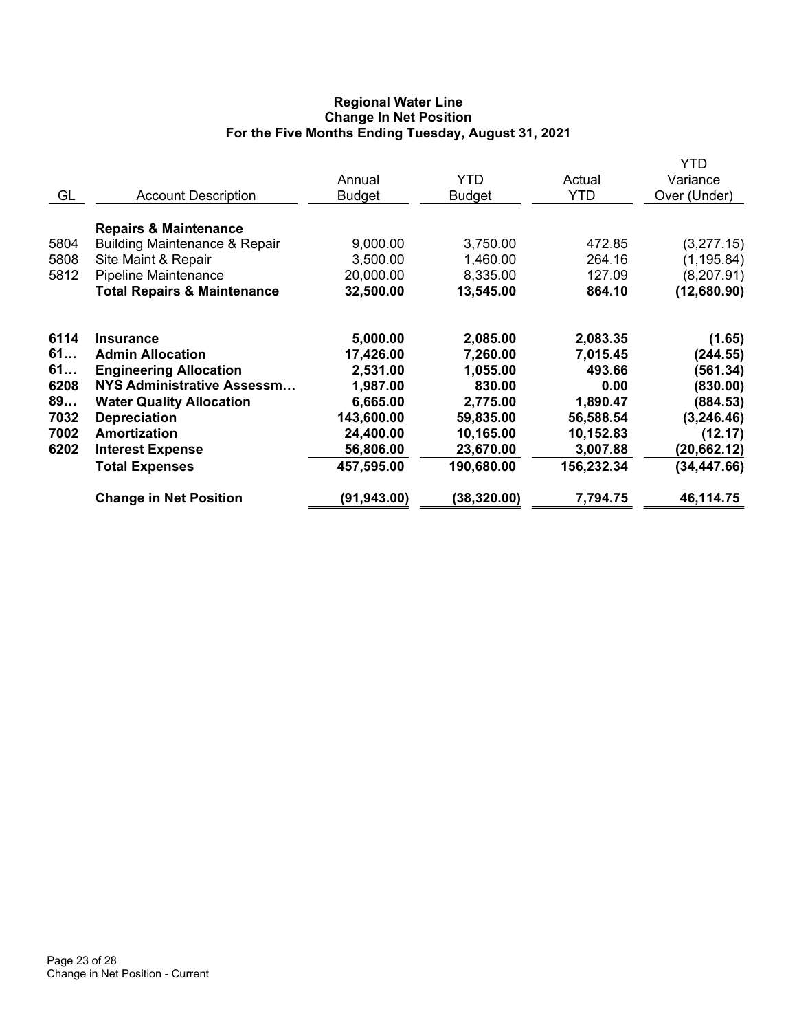# **Regional Water Line Change In Net Position For the Five Months Ending Tuesday, August 31, 2021**

|      |                                          | Annual        | <b>YTD</b>    | Actual     | YTD<br>Variance |
|------|------------------------------------------|---------------|---------------|------------|-----------------|
| GL   | <b>Account Description</b>               | <b>Budget</b> | <b>Budget</b> | <b>YTD</b> | Over (Under)    |
|      | <b>Repairs &amp; Maintenance</b>         |               |               |            |                 |
| 5804 | <b>Building Maintenance &amp; Repair</b> | 9,000.00      | 3,750.00      | 472.85     | (3,277.15)      |
| 5808 | Site Maint & Repair                      | 3,500.00      | 1,460.00      | 264.16     | (1, 195.84)     |
| 5812 | Pipeline Maintenance                     | 20,000.00     | 8,335.00      | 127.09     | (8, 207.91)     |
|      | <b>Total Repairs &amp; Maintenance</b>   | 32,500.00     | 13,545.00     | 864.10     | (12,680.90)     |
| 6114 | <b>Insurance</b>                         | 5,000.00      | 2,085.00      | 2,083.35   | (1.65)          |
| 61   | <b>Admin Allocation</b>                  | 17,426.00     | 7,260.00      | 7,015.45   | (244.55)        |
| 61   | <b>Engineering Allocation</b>            | 2,531.00      | 1,055.00      | 493.66     | (561.34)        |
| 6208 | NYS Administrative Assessm               | 1,987.00      | 830.00        | 0.00       | (830.00)        |
| 89   | <b>Water Quality Allocation</b>          | 6,665.00      | 2,775.00      | 1,890.47   | (884.53)        |
| 7032 | <b>Depreciation</b>                      | 143,600.00    | 59,835.00     | 56,588.54  | (3, 246.46)     |
| 7002 | Amortization                             | 24,400.00     | 10,165.00     | 10,152.83  | (12.17)         |
| 6202 | <b>Interest Expense</b>                  | 56,806.00     | 23,670.00     | 3,007.88   | (20, 662.12)    |
|      | <b>Total Expenses</b>                    | 457,595.00    | 190,680.00    | 156,232.34 | (34, 447.66)    |
|      | <b>Change in Net Position</b>            | (91, 943.00)  | (38, 320.00)  | 7,794.75   | 46,114.75       |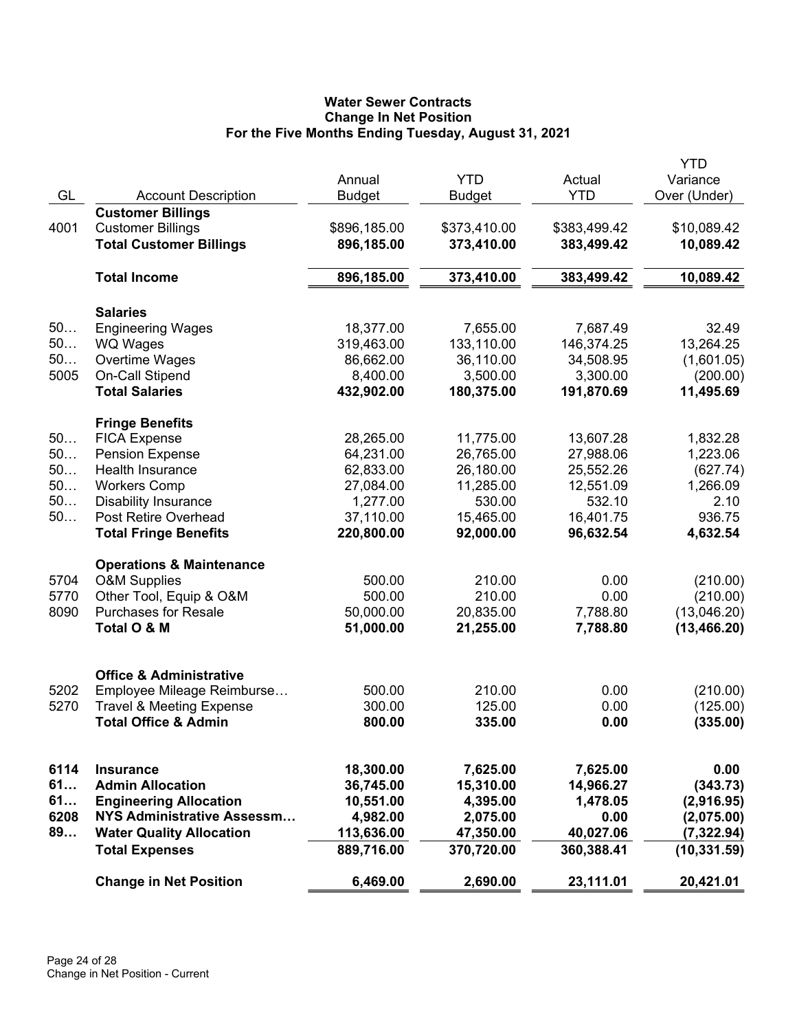# **Water Sewer Contracts Change In Net Position For the Five Months Ending Tuesday, August 31, 2021**

|      |                                     |               |               |              | YTD          |
|------|-------------------------------------|---------------|---------------|--------------|--------------|
|      |                                     | Annual        | <b>YTD</b>    | Actual       | Variance     |
| GL   | <b>Account Description</b>          | <b>Budget</b> | <b>Budget</b> | <b>YTD</b>   | Over (Under) |
|      | <b>Customer Billings</b>            |               |               |              |              |
| 4001 | <b>Customer Billings</b>            | \$896,185.00  | \$373,410.00  | \$383,499.42 | \$10,089.42  |
|      | <b>Total Customer Billings</b>      | 896,185.00    | 373,410.00    | 383,499.42   | 10,089.42    |
|      | <b>Total Income</b>                 | 896,185.00    | 373,410.00    | 383,499.42   | 10,089.42    |
|      | <b>Salaries</b>                     |               |               |              |              |
| 50   | <b>Engineering Wages</b>            | 18,377.00     | 7,655.00      | 7,687.49     | 32.49        |
| 50   | <b>WQ Wages</b>                     | 319,463.00    | 133,110.00    | 146,374.25   | 13,264.25    |
| 50   | Overtime Wages                      | 86,662.00     | 36,110.00     | 34,508.95    | (1,601.05)   |
| 5005 | On-Call Stipend                     | 8,400.00      | 3,500.00      | 3,300.00     | (200.00)     |
|      | <b>Total Salaries</b>               | 432,902.00    | 180,375.00    | 191,870.69   | 11,495.69    |
|      | <b>Fringe Benefits</b>              |               |               |              |              |
| 50   | <b>FICA Expense</b>                 | 28,265.00     | 11,775.00     | 13,607.28    | 1,832.28     |
| 50   | <b>Pension Expense</b>              | 64,231.00     | 26,765.00     | 27,988.06    | 1,223.06     |
| 50   | <b>Health Insurance</b>             | 62,833.00     | 26,180.00     | 25,552.26    | (627.74)     |
| 50   | <b>Workers Comp</b>                 | 27,084.00     | 11,285.00     | 12,551.09    | 1,266.09     |
| 50   | <b>Disability Insurance</b>         | 1,277.00      | 530.00        | 532.10       | 2.10         |
| 50   | Post Retire Overhead                | 37,110.00     | 15,465.00     | 16,401.75    | 936.75       |
|      | <b>Total Fringe Benefits</b>        | 220,800.00    | 92,000.00     | 96,632.54    | 4,632.54     |
|      | <b>Operations &amp; Maintenance</b> |               |               |              |              |
| 5704 | <b>O&amp;M Supplies</b>             | 500.00        | 210.00        | 0.00         | (210.00)     |
| 5770 | Other Tool, Equip & O&M             | 500.00        | 210.00        | 0.00         | (210.00)     |
| 8090 | <b>Purchases for Resale</b>         | 50,000.00     | 20,835.00     | 7,788.80     | (13,046.20)  |
|      | Total O & M                         | 51,000.00     | 21,255.00     | 7,788.80     | (13, 466.20) |
|      |                                     |               |               |              |              |
|      | <b>Office &amp; Administrative</b>  |               |               |              |              |
| 5202 | Employee Mileage Reimburse          | 500.00        | 210.00        | 0.00         | (210.00)     |
| 5270 | <b>Travel &amp; Meeting Expense</b> | 300.00        | 125.00        | 0.00         | (125.00)     |
|      | <b>Total Office &amp; Admin</b>     | 800.00        | 335.00        | 0.00         | (335.00)     |
|      |                                     |               |               |              |              |
| 6114 | <b>Insurance</b>                    | 18,300.00     | 7,625.00      | 7,625.00     | 0.00         |
| 61   | <b>Admin Allocation</b>             | 36,745.00     | 15,310.00     | 14,966.27    | (343.73)     |
| 61   | <b>Engineering Allocation</b>       | 10,551.00     | 4,395.00      | 1,478.05     | (2,916.95)   |
| 6208 | NYS Administrative Assessm          | 4,982.00      | 2,075.00      | 0.00         | (2,075.00)   |
| 89   | <b>Water Quality Allocation</b>     | 113,636.00    | 47,350.00     | 40,027.06    | (7, 322.94)  |
|      | <b>Total Expenses</b>               | 889,716.00    | 370,720.00    | 360,388.41   | (10, 331.59) |
|      | <b>Change in Net Position</b>       | 6,469.00      | 2,690.00      | 23,111.01    | 20,421.01    |
|      |                                     |               |               |              |              |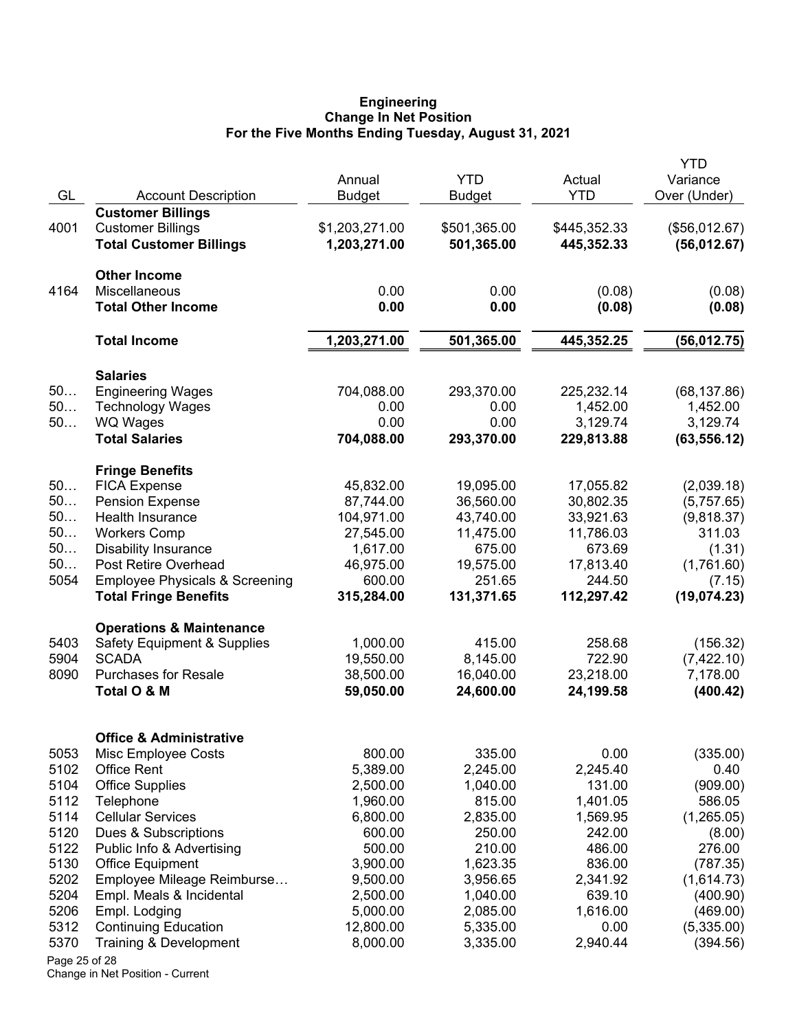#### **Engineering Change In Net Position For the Five Months Ending Tuesday, August 31, 2021**

|               |                                                            |                    |                    |                  | <b>YTD</b>       |
|---------------|------------------------------------------------------------|--------------------|--------------------|------------------|------------------|
|               |                                                            | Annual             | <b>YTD</b>         | Actual           | Variance         |
| GL            | <b>Account Description</b>                                 | <b>Budget</b>      | <b>Budget</b>      | <b>YTD</b>       | Over (Under)     |
|               | <b>Customer Billings</b>                                   |                    |                    |                  |                  |
| 4001          | <b>Customer Billings</b><br><b>Total Customer Billings</b> | \$1,203,271.00     | \$501,365.00       | \$445,352.33     | (\$56,012.67)    |
|               |                                                            | 1,203,271.00       | 501,365.00         | 445,352.33       | (56,012.67)      |
|               | <b>Other Income</b>                                        |                    |                    |                  |                  |
| 4164          | <b>Miscellaneous</b>                                       | 0.00               | 0.00               | (0.08)           | (0.08)           |
|               | <b>Total Other Income</b>                                  | 0.00               | 0.00               | (0.08)           | (0.08)           |
|               | <b>Total Income</b>                                        | 1,203,271.00       | 501,365.00         | 445,352.25       | (56, 012.75)     |
|               | <b>Salaries</b>                                            |                    |                    |                  |                  |
| 50            | <b>Engineering Wages</b>                                   | 704,088.00         | 293,370.00         | 225,232.14       | (68, 137.86)     |
| 50            | <b>Technology Wages</b>                                    | 0.00               | 0.00               | 1,452.00         | 1,452.00         |
| 50            | <b>WQ Wages</b>                                            | 0.00               | 0.00               | 3,129.74         | 3,129.74         |
|               | <b>Total Salaries</b>                                      | 704,088.00         | 293,370.00         | 229,813.88       | (63, 556.12)     |
|               | <b>Fringe Benefits</b>                                     |                    |                    |                  |                  |
| 50            | <b>FICA Expense</b>                                        | 45,832.00          | 19,095.00          | 17,055.82        | (2,039.18)       |
| 50            | <b>Pension Expense</b>                                     | 87,744.00          | 36,560.00          | 30,802.35        | (5,757.65)       |
| 50            | Health Insurance                                           | 104,971.00         | 43,740.00          | 33,921.63        | (9,818.37)       |
| 50            | <b>Workers Comp</b>                                        | 27,545.00          | 11,475.00          | 11,786.03        | 311.03           |
| 50            | <b>Disability Insurance</b>                                | 1,617.00           | 675.00             | 673.69           | (1.31)           |
| 50            | Post Retire Overhead                                       | 46,975.00          | 19,575.00          | 17,813.40        | (1,761.60)       |
| 5054          | <b>Employee Physicals &amp; Screening</b>                  | 600.00             | 251.65             | 244.50           | (7.15)           |
|               | <b>Total Fringe Benefits</b>                               | 315,284.00         | 131,371.65         | 112,297.42       | (19,074.23)      |
|               | <b>Operations &amp; Maintenance</b>                        |                    |                    |                  |                  |
| 5403          | <b>Safety Equipment &amp; Supplies</b>                     | 1,000.00           | 415.00             | 258.68           | (156.32)         |
| 5904          | <b>SCADA</b>                                               | 19,550.00          | 8,145.00           | 722.90           | (7,422.10)       |
| 8090          | <b>Purchases for Resale</b>                                | 38,500.00          | 16,040.00          | 23,218.00        | 7,178.00         |
|               | Total O & M                                                | 59,050.00          | 24,600.00          | 24,199.58        | (400.42)         |
|               |                                                            |                    |                    |                  |                  |
|               | <b>Office &amp; Administrative</b>                         |                    |                    |                  |                  |
| 5053<br>5102  | Misc Employee Costs<br><b>Office Rent</b>                  | 800.00<br>5,389.00 | 335.00<br>2,245.00 | 0.00<br>2,245.40 | (335.00)<br>0.40 |
| 5104          | <b>Office Supplies</b>                                     | 2,500.00           | 1,040.00           | 131.00           | (909.00)         |
| 5112          | Telephone                                                  | 1,960.00           | 815.00             | 1,401.05         | 586.05           |
| 5114          | <b>Cellular Services</b>                                   | 6,800.00           | 2,835.00           | 1,569.95         | (1,265.05)       |
| 5120          | Dues & Subscriptions                                       | 600.00             | 250.00             | 242.00           | (8.00)           |
| 5122          | Public Info & Advertising                                  | 500.00             | 210.00             | 486.00           | 276.00           |
| 5130          | <b>Office Equipment</b>                                    | 3,900.00           | 1,623.35           | 836.00           | (787.35)         |
| 5202          | Employee Mileage Reimburse                                 | 9,500.00           | 3,956.65           | 2,341.92         | (1,614.73)       |
| 5204          | Empl. Meals & Incidental                                   | 2,500.00           | 1,040.00           | 639.10           | (400.90)         |
| 5206          | Empl. Lodging                                              | 5,000.00           | 2,085.00           | 1,616.00         | (469.00)         |
| 5312          | <b>Continuing Education</b>                                | 12,800.00          | 5,335.00           | 0.00             | (5,335.00)       |
| 5370          | Training & Development                                     | 8,000.00           | 3,335.00           | 2,940.44         | (394.56)         |
| Page 25 of 28 |                                                            |                    |                    |                  |                  |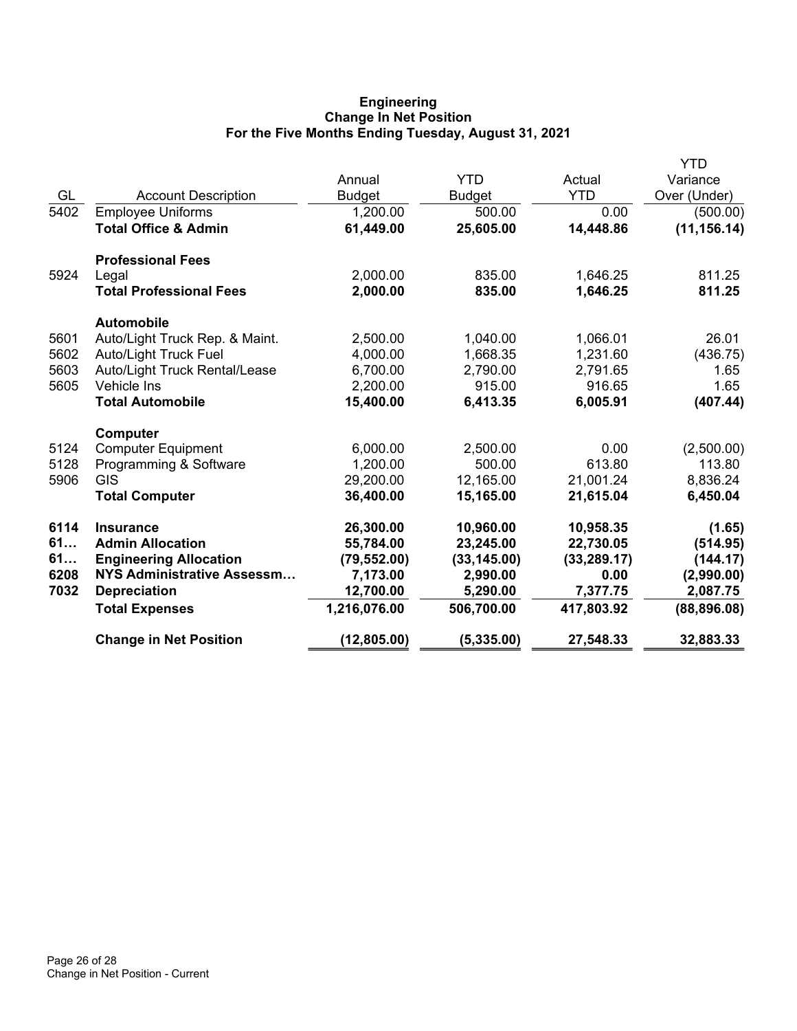# **Engineering Change In Net Position For the Five Months Ending Tuesday, August 31, 2021**

|      |                                 |               |               |              | <b>YTD</b>   |
|------|---------------------------------|---------------|---------------|--------------|--------------|
|      |                                 | Annual        | <b>YTD</b>    | Actual       | Variance     |
| GL   | <b>Account Description</b>      | <b>Budget</b> | <b>Budget</b> | <b>YTD</b>   | Over (Under) |
| 5402 | <b>Employee Uniforms</b>        | 1,200.00      | 500.00        | 0.00         | (500.00)     |
|      | <b>Total Office &amp; Admin</b> | 61,449.00     | 25,605.00     | 14,448.86    | (11, 156.14) |
|      | <b>Professional Fees</b>        |               |               |              |              |
| 5924 | Legal                           | 2,000.00      | 835.00        | 1,646.25     | 811.25       |
|      | <b>Total Professional Fees</b>  | 2,000.00      | 835.00        | 1,646.25     | 811.25       |
|      | <b>Automobile</b>               |               |               |              |              |
| 5601 | Auto/Light Truck Rep. & Maint.  | 2,500.00      | 1,040.00      | 1,066.01     | 26.01        |
| 5602 | <b>Auto/Light Truck Fuel</b>    | 4,000.00      | 1,668.35      | 1,231.60     | (436.75)     |
| 5603 | Auto/Light Truck Rental/Lease   | 6,700.00      | 2,790.00      | 2,791.65     | 1.65         |
| 5605 | Vehicle Ins                     | 2,200.00      | 915.00        | 916.65       | 1.65         |
|      | <b>Total Automobile</b>         | 15,400.00     | 6,413.35      | 6,005.91     | (407.44)     |
|      | <b>Computer</b>                 |               |               |              |              |
| 5124 | <b>Computer Equipment</b>       | 6,000.00      | 2,500.00      | 0.00         | (2,500.00)   |
| 5128 | Programming & Software          | 1,200.00      | 500.00        | 613.80       | 113.80       |
| 5906 | <b>GIS</b>                      | 29,200.00     | 12,165.00     | 21,001.24    | 8,836.24     |
|      | <b>Total Computer</b>           | 36,400.00     | 15,165.00     | 21,615.04    | 6,450.04     |
| 6114 | <b>Insurance</b>                | 26,300.00     | 10,960.00     | 10,958.35    | (1.65)       |
| 61   | <b>Admin Allocation</b>         | 55,784.00     | 23,245.00     | 22,730.05    | (514.95)     |
| 61   | <b>Engineering Allocation</b>   | (79, 552.00)  | (33, 145.00)  | (33, 289.17) | (144.17)     |
| 6208 | NYS Administrative Assessm      | 7,173.00      | 2,990.00      | 0.00         | (2,990.00)   |
| 7032 | <b>Depreciation</b>             | 12,700.00     | 5,290.00      | 7,377.75     | 2,087.75     |
|      | <b>Total Expenses</b>           | 1,216,076.00  | 506,700.00    | 417,803.92   | (88, 896.08) |
|      | <b>Change in Net Position</b>   | (12, 805.00)  | (5, 335.00)   | 27,548.33    | 32,883.33    |
|      |                                 |               |               |              |              |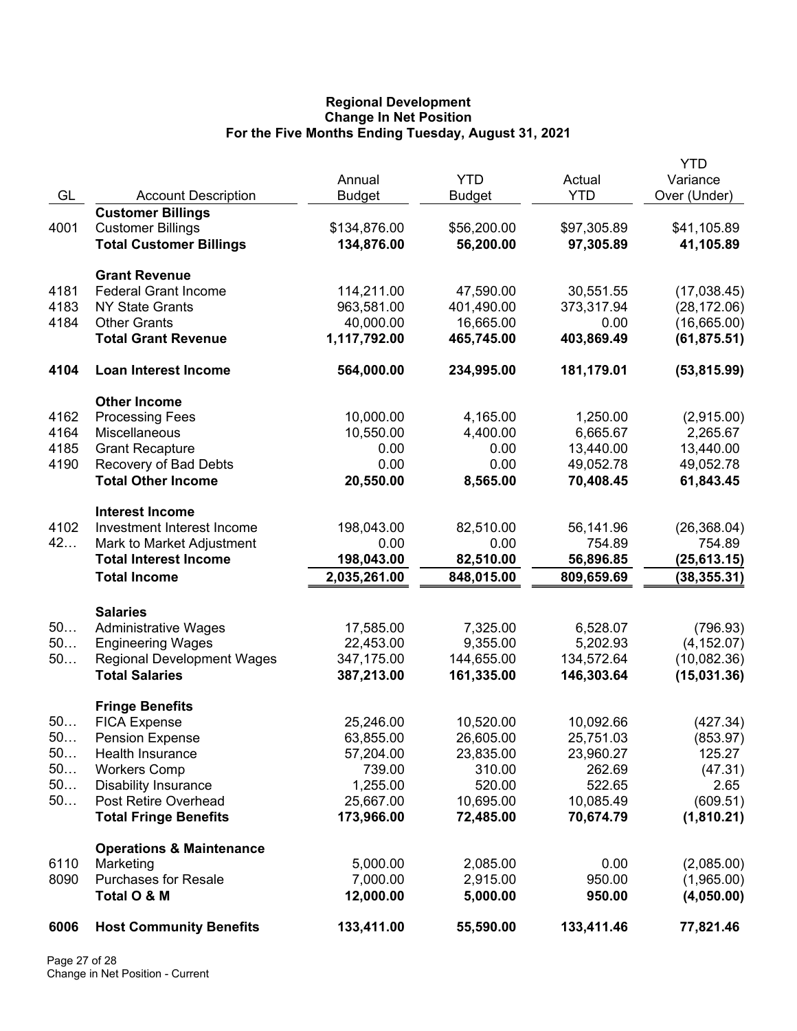## **Regional Development Change In Net Position For the Five Months Ending Tuesday, August 31, 2021**

|              |                                                      | Annual                | <b>YTD</b>           | Actual              | <b>YTD</b><br>Variance   |
|--------------|------------------------------------------------------|-----------------------|----------------------|---------------------|--------------------------|
| GL           | <b>Account Description</b>                           | <b>Budget</b>         | <b>Budget</b>        | <b>YTD</b>          | Over (Under)             |
|              | <b>Customer Billings</b>                             |                       |                      |                     |                          |
| 4001         | <b>Customer Billings</b>                             | \$134,876.00          | \$56,200.00          | \$97,305.89         | \$41,105.89              |
|              | <b>Total Customer Billings</b>                       | 134,876.00            | 56,200.00            | 97,305.89           | 41,105.89                |
|              | <b>Grant Revenue</b>                                 |                       |                      |                     |                          |
| 4181         | <b>Federal Grant Income</b>                          | 114,211.00            | 47,590.00            | 30,551.55           | (17,038.45)              |
| 4183         | <b>NY State Grants</b>                               | 963,581.00            | 401,490.00           | 373,317.94          | (28, 172.06)             |
| 4184         | <b>Other Grants</b>                                  | 40,000.00             | 16,665.00            | 0.00                | (16,665.00)              |
|              | <b>Total Grant Revenue</b>                           | 1,117,792.00          | 465,745.00           | 403,869.49          | (61, 875.51)             |
| 4104         | <b>Loan Interest Income</b>                          | 564,000.00            | 234,995.00           | 181,179.01          | (53, 815.99)             |
|              | <b>Other Income</b>                                  |                       |                      |                     |                          |
| 4162         | <b>Processing Fees</b>                               | 10,000.00             | 4,165.00             | 1,250.00            | (2,915.00)               |
| 4164         | <b>Miscellaneous</b>                                 | 10,550.00             | 4,400.00             | 6,665.67            | 2,265.67                 |
| 4185         | <b>Grant Recapture</b>                               | 0.00                  | 0.00                 | 13,440.00           | 13,440.00                |
| 4190         | Recovery of Bad Debts<br><b>Total Other Income</b>   | 0.00                  | 0.00                 | 49,052.78           | 49,052.78                |
|              |                                                      | 20,550.00             | 8,565.00             | 70,408.45           | 61,843.45                |
| 4102         | <b>Interest Income</b><br>Investment Interest Income | 198,043.00            | 82,510.00            | 56,141.96           |                          |
| 42           | Mark to Market Adjustment                            | 0.00                  | 0.00                 | 754.89              | (26, 368.04)<br>754.89   |
|              | <b>Total Interest Income</b>                         | 198,043.00            | 82,510.00            | 56,896.85           | (25, 613.15)             |
|              | <b>Total Income</b>                                  | 2,035,261.00          | 848,015.00           | 809,659.69          | (38, 355.31)             |
|              |                                                      |                       |                      |                     |                          |
| 50           | <b>Salaries</b><br><b>Administrative Wages</b>       | 17,585.00             | 7,325.00             | 6,528.07            | (796.93)                 |
| 50           | <b>Engineering Wages</b>                             | 22,453.00             | 9,355.00             | 5,202.93            | (4, 152.07)              |
| 50           | <b>Regional Development Wages</b>                    | 347,175.00            | 144,655.00           | 134,572.64          | (10,082.36)              |
|              | <b>Total Salaries</b>                                | 387,213.00            | 161,335.00           | 146,303.64          | (15,031.36)              |
|              | <b>Fringe Benefits</b>                               |                       |                      |                     |                          |
| 50           | <b>FICA Expense</b>                                  | 25,246.00             | 10,520.00            | 10,092.66           | (427.34)                 |
| 50.          | <b>Pension Expense</b>                               | 63,855.00             | 26,605.00            | 25,751.03           | (853.97)                 |
| 50           | Health Insurance                                     | 57,204.00             | 23,835.00            | 23,960.27           | 125.27                   |
| 50           | <b>Workers Comp</b>                                  | 739.00                | 310.00               | 262.69              | (47.31)                  |
| 50<br>50     | <b>Disability Insurance</b><br>Post Retire Overhead  | 1,255.00<br>25,667.00 | 520.00<br>10,695.00  | 522.65<br>10,085.49 | 2.65<br>(609.51)         |
|              | <b>Total Fringe Benefits</b>                         | 173,966.00            | 72,485.00            | 70,674.79           | (1,810.21)               |
|              |                                                      |                       |                      |                     |                          |
|              | <b>Operations &amp; Maintenance</b>                  |                       |                      |                     |                          |
| 6110<br>8090 | Marketing<br><b>Purchases for Resale</b>             | 5,000.00<br>7,000.00  | 2,085.00<br>2,915.00 | 0.00<br>950.00      | (2,085.00)               |
|              | Total O & M                                          | 12,000.00             | 5,000.00             | 950.00              | (1,965.00)<br>(4,050.00) |
| 6006         | <b>Host Community Benefits</b>                       | 133,411.00            | 55,590.00            | 133,411.46          | 77,821.46                |
|              |                                                      |                       |                      |                     |                          |